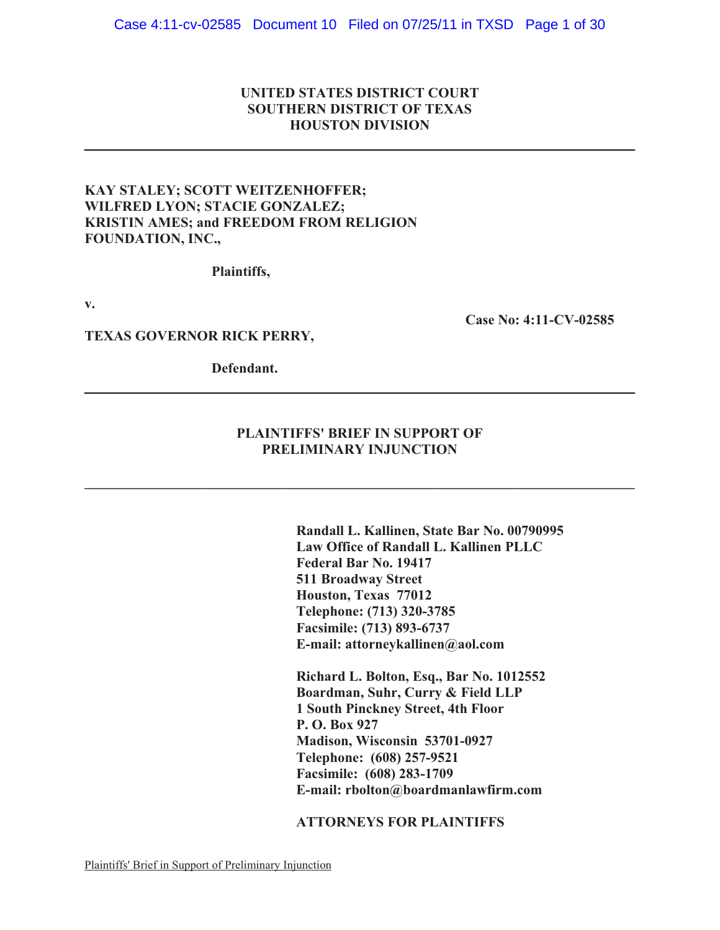# **UNITED STATES DISTRICT COURT SOUTHERN DISTRICT OF TEXAS HOUSTON DIVISION**

## **KAY STALEY; SCOTT WEITZENHOFFER; WILFRED LYON; STACIE GONZALEZ; KRISTIN AMES; and FREEDOM FROM RELIGION FOUNDATION, INC.,**

**Plaintiffs,**

**v.**

**Case No: 4:11-CV-02585**

### **TEXAS GOVERNOR RICK PERRY,**

**Defendant.**

# **PLAINTIFFS' BRIEF IN SUPPORT OF PRELIMINARY INJUNCTION**

**\_\_\_\_\_\_\_\_\_\_\_\_\_\_\_\_\_\_\_\_\_\_\_\_\_\_\_\_\_\_\_\_\_\_\_\_\_\_\_\_\_\_\_\_\_\_\_\_\_\_\_\_\_\_\_\_\_\_\_\_\_\_\_\_\_\_\_\_\_\_\_\_\_\_\_\_\_\_**

**Randall L. Kallinen, State Bar No. 00790995 Law Office of Randall L. Kallinen PLLC Federal Bar No. 19417 511 Broadway Street Houston, Texas 77012 Telephone: (713) 320-3785 Facsimile: (713) 893-6737 E-mail: attorneykallinen@aol.com**

**Richard L. Bolton, Esq., Bar No. 1012552 Boardman, Suhr, Curry & Field LLP 1 South Pinckney Street, 4th Floor P. O. Box 927 Madison, Wisconsin 53701-0927 Telephone: (608) 257-9521 Facsimile: (608) 283-1709 E-mail: rbolton@boardmanlawfirm.com**

**ATTORNEYS FOR PLAINTIFFS**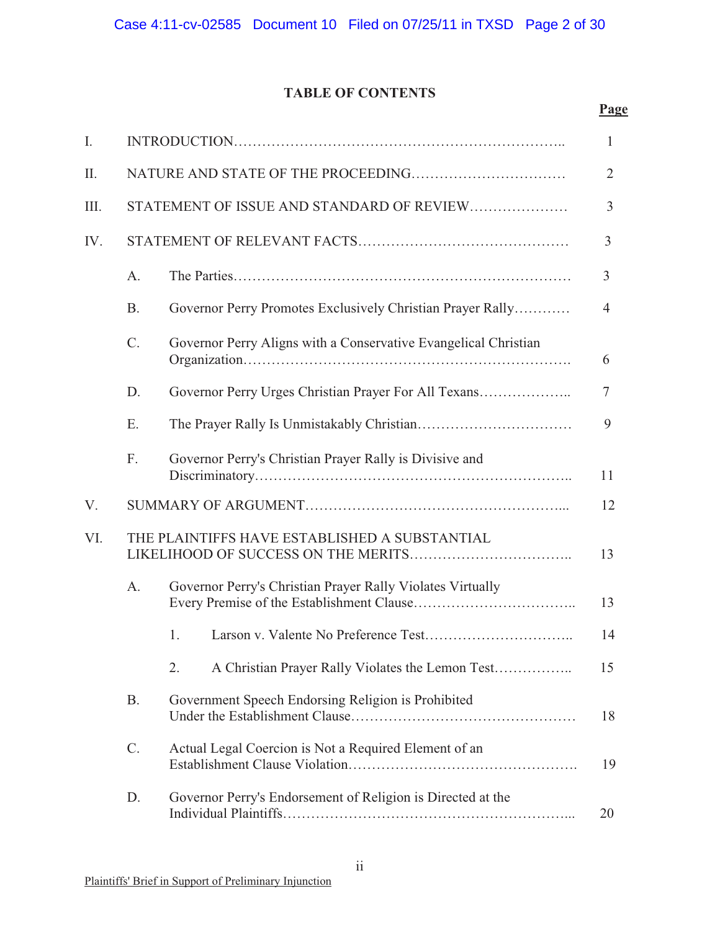# **TABLE OF CONTENTS**

**Page**

| I.   |           |                                                                 | 1              |
|------|-----------|-----------------------------------------------------------------|----------------|
| II.  |           |                                                                 | $\overline{2}$ |
| III. |           | STATEMENT OF ISSUE AND STANDARD OF REVIEW                       | 3              |
| IV.  |           |                                                                 | 3              |
|      | A.        |                                                                 | 3              |
|      | <b>B.</b> | Governor Perry Promotes Exclusively Christian Prayer Rally      | $\overline{4}$ |
|      | C.        | Governor Perry Aligns with a Conservative Evangelical Christian | 6              |
|      | D.        | Governor Perry Urges Christian Prayer For All Texans            | 7              |
|      | Ε.        |                                                                 | 9              |
|      | F.        | Governor Perry's Christian Prayer Rally is Divisive and         | 11             |
| V.   |           |                                                                 | 12             |
| VI.  |           | THE PLAINTIFFS HAVE ESTABLISHED A SUBSTANTIAL                   | 13             |
|      | A.        | Governor Perry's Christian Prayer Rally Violates Virtually      | 13             |
|      |           | 1.                                                              | 14             |
|      |           | 2.<br>A Christian Prayer Rally Violates the Lemon Test          | 15             |
|      | <b>B.</b> | Government Speech Endorsing Religion is Prohibited              | 18             |
|      | $C$ .     | Actual Legal Coercion is Not a Required Element of an           | 19             |
|      | D.        | Governor Perry's Endorsement of Religion is Directed at the     | 20             |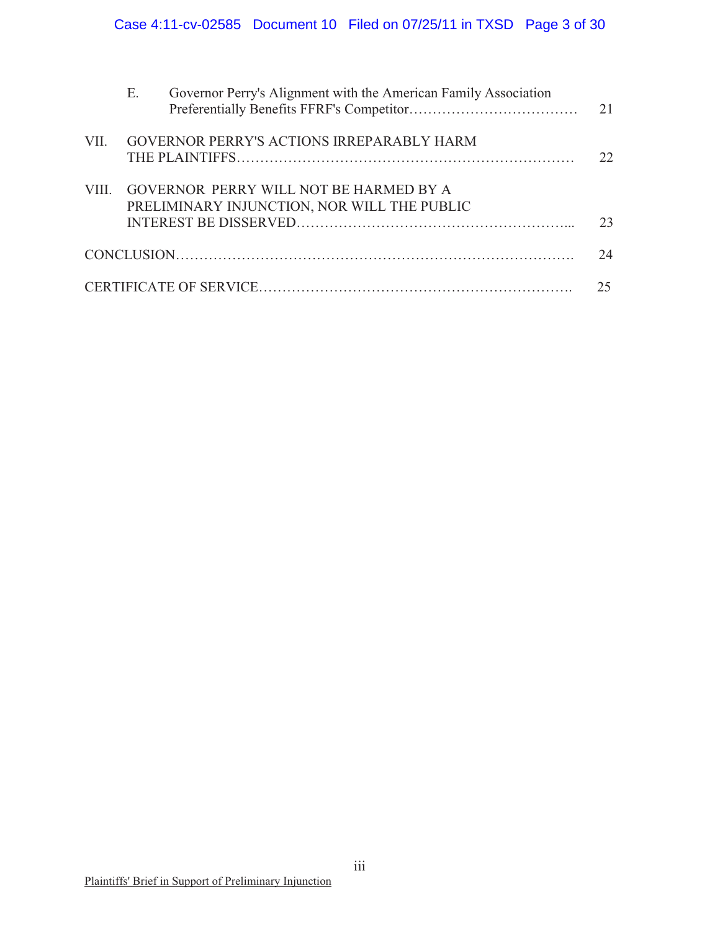|      | Ε. | Governor Perry's Alignment with the American Family Association                       | 21 |
|------|----|---------------------------------------------------------------------------------------|----|
| VII. |    | <b>GOVERNOR PERRY'S ACTIONS IRREPARABLY HARM</b>                                      | 22 |
| VIII |    | GOVERNOR PERRY WILL NOT BE HARMED BY A<br>PRELIMINARY INJUNCTION, NOR WILL THE PUBLIC | 23 |
|      |    |                                                                                       | 24 |
|      |    |                                                                                       |    |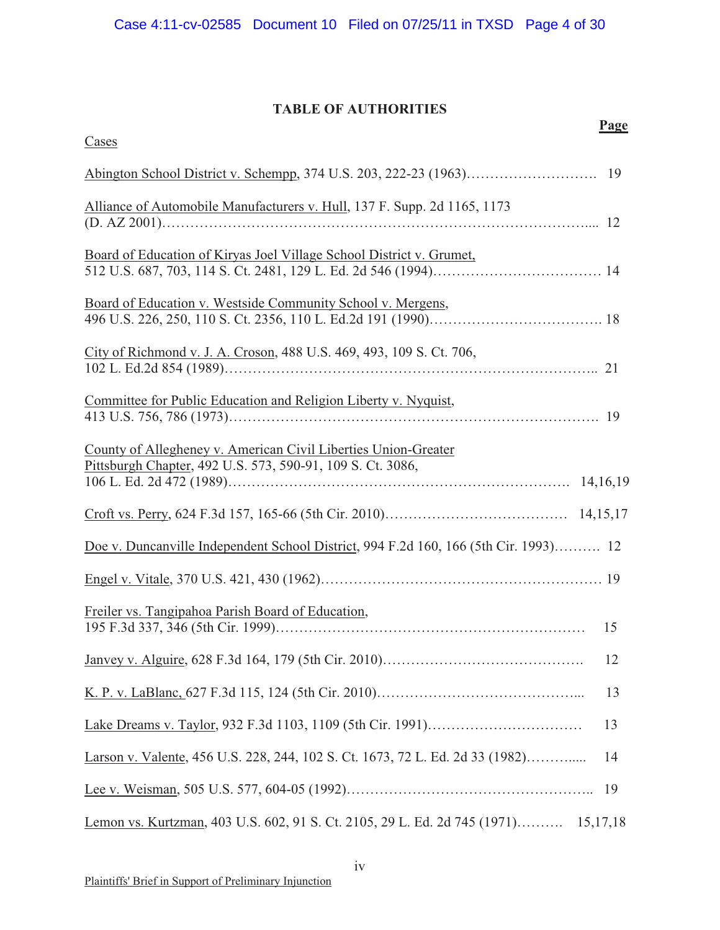# **TABLE OF AUTHORITIES**

**Page**

| Cases                                                                                                                        |    |
|------------------------------------------------------------------------------------------------------------------------------|----|
|                                                                                                                              |    |
| Alliance of Automobile Manufacturers v. Hull, 137 F. Supp. 2d 1165, 1173                                                     |    |
| Board of Education of Kiryas Joel Village School District v. Grumet,                                                         |    |
| Board of Education v. Westside Community School v. Mergens,                                                                  |    |
| City of Richmond v. J. A. Croson, 488 U.S. 469, 493, 109 S. Ct. 706,                                                         |    |
| Committee for Public Education and Religion Liberty v. Nyquist,                                                              |    |
| County of Allegheney v. American Civil Liberties Union-Greater<br>Pittsburgh Chapter, 492 U.S. 573, 590-91, 109 S. Ct. 3086, |    |
|                                                                                                                              |    |
| Doe v. Duncanville Independent School District, 994 F.2d 160, 166 (5th Cir. 1993) 12                                         |    |
|                                                                                                                              |    |
| Freiler vs. Tangipahoa Parish Board of Education,                                                                            |    |
|                                                                                                                              | 12 |
|                                                                                                                              | 13 |
|                                                                                                                              | 13 |
| Larson v. Valente, 456 U.S. 228, 244, 102 S. Ct. 1673, 72 L. Ed. 2d 33 (1982)                                                | 14 |
|                                                                                                                              | 19 |
| Lemon vs. Kurtzman, 403 U.S. 602, 91 S. Ct. 2105, 29 L. Ed. 2d 745 (1971) 15,17,18                                           |    |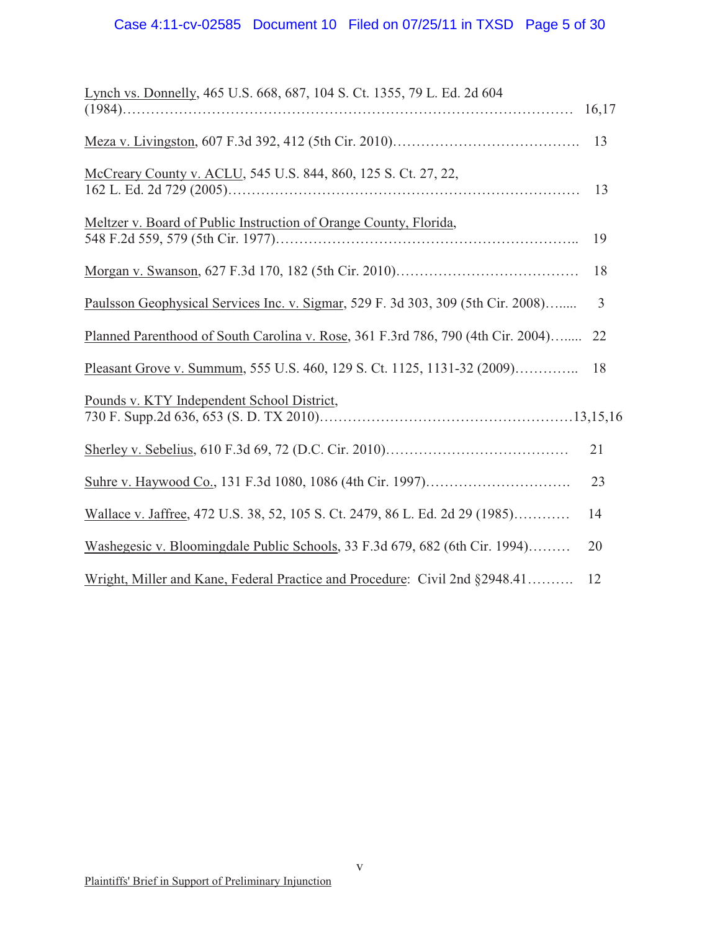# Case 4:11-cv-02585 Document 10 Filed on 07/25/11 in TXSD Page 5 of 30

| Lynch vs. Donnelly, 465 U.S. 668, 687, 104 S. Ct. 1355, 79 L. Ed. 2d 604         |                |
|----------------------------------------------------------------------------------|----------------|
|                                                                                  | 13             |
| McCreary County v. ACLU, 545 U.S. 844, 860, 125 S. Ct. 27, 22,                   | 13             |
| Meltzer v. Board of Public Instruction of Orange County, Florida,                | 19             |
|                                                                                  | 18             |
| Paulsson Geophysical Services Inc. v. Sigmar, 529 F. 3d 303, 309 (5th Cir. 2008) | $\overline{3}$ |
| Planned Parenthood of South Carolina v. Rose, 361 F.3rd 786, 790 (4th Cir. 2004) | 22             |
| Pleasant Grove v. Summum, 555 U.S. 460, 129 S. Ct. 1125, 1131-32 (2009)          | 18             |
| Pounds v. KTY Independent School District,                                       |                |
|                                                                                  | 21             |
|                                                                                  | 23             |
| Wallace v. Jaffree, 472 U.S. 38, 52, 105 S. Ct. 2479, 86 L. Ed. 2d 29 (1985)     | 14             |
| Washegesic v. Bloomingdale Public Schools, 33 F.3d 679, 682 (6th Cir. 1994)      | 20             |
| Wright, Miller and Kane, Federal Practice and Procedure: Civil 2nd §2948.41      | 12             |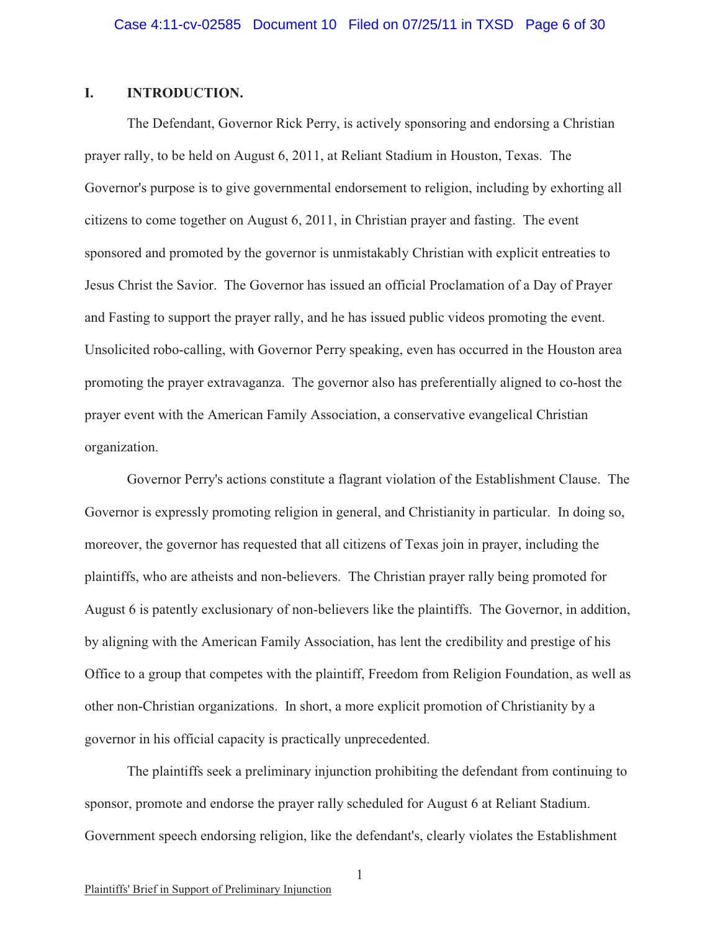### **I. INTRODUCTION.**

The Defendant, Governor Rick Perry, is actively sponsoring and endorsing a Christian prayer rally, to be held on August 6, 2011, at Reliant Stadium in Houston, Texas. The Governor's purpose is to give governmental endorsement to religion, including by exhorting all citizens to come together on August 6, 2011, in Christian prayer and fasting. The event sponsored and promoted by the governor is unmistakably Christian with explicit entreaties to Jesus Christ the Savior. The Governor has issued an official Proclamation of a Day of Prayer and Fasting to support the prayer rally, and he has issued public videos promoting the event. Unsolicited robo-calling, with Governor Perry speaking, even has occurred in the Houston area promoting the prayer extravaganza. The governor also has preferentially aligned to co-host the prayer event with the American Family Association, a conservative evangelical Christian organization.

Governor Perry's actions constitute a flagrant violation of the Establishment Clause. The Governor is expressly promoting religion in general, and Christianity in particular. In doing so, moreover, the governor has requested that all citizens of Texas join in prayer, including the plaintiffs, who are atheists and non-believers. The Christian prayer rally being promoted for August 6 is patently exclusionary of non-believers like the plaintiffs. The Governor, in addition, by aligning with the American Family Association, has lent the credibility and prestige of his Office to a group that competes with the plaintiff, Freedom from Religion Foundation, as well as other non-Christian organizations. In short, a more explicit promotion of Christianity by a governor in his official capacity is practically unprecedented.

The plaintiffs seek a preliminary injunction prohibiting the defendant from continuing to sponsor, promote and endorse the prayer rally scheduled for August 6 at Reliant Stadium. Government speech endorsing religion, like the defendant's, clearly violates the Establishment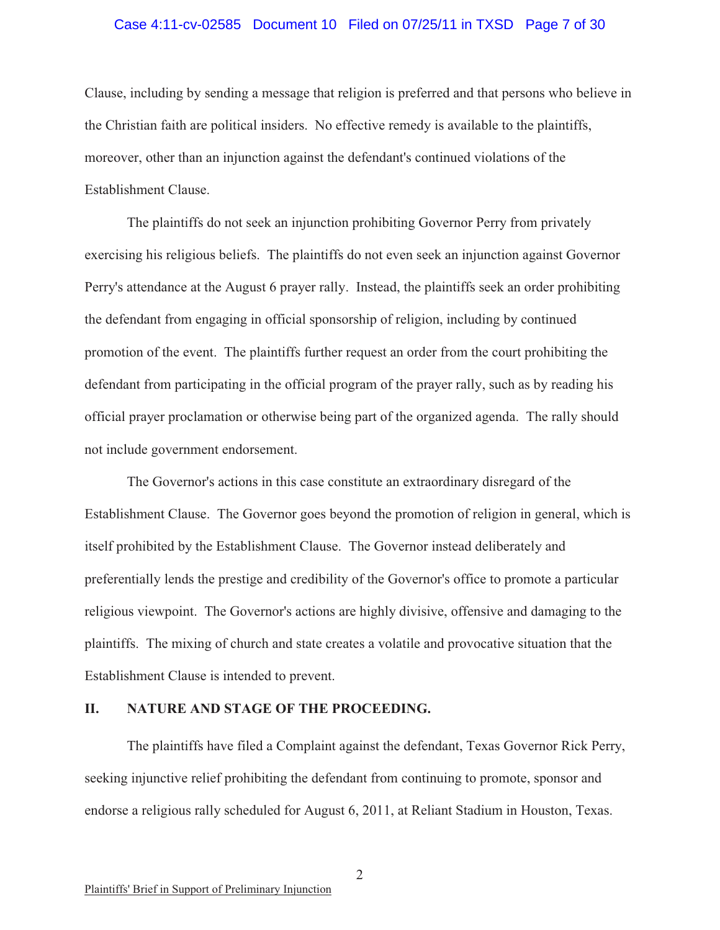#### Case 4:11-cv-02585 Document 10 Filed on 07/25/11 in TXSD Page 7 of 30

Clause, including by sending a message that religion is preferred and that persons who believe in the Christian faith are political insiders. No effective remedy is available to the plaintiffs, moreover, other than an injunction against the defendant's continued violations of the Establishment Clause.

The plaintiffs do not seek an injunction prohibiting Governor Perry from privately exercising his religious beliefs. The plaintiffs do not even seek an injunction against Governor Perry's attendance at the August 6 prayer rally. Instead, the plaintiffs seek an order prohibiting the defendant from engaging in official sponsorship of religion, including by continued promotion of the event. The plaintiffs further request an order from the court prohibiting the defendant from participating in the official program of the prayer rally, such as by reading his official prayer proclamation or otherwise being part of the organized agenda. The rally should not include government endorsement.

The Governor's actions in this case constitute an extraordinary disregard of the Establishment Clause. The Governor goes beyond the promotion of religion in general, which is itself prohibited by the Establishment Clause. The Governor instead deliberately and preferentially lends the prestige and credibility of the Governor's office to promote a particular religious viewpoint. The Governor's actions are highly divisive, offensive and damaging to the plaintiffs. The mixing of church and state creates a volatile and provocative situation that the Establishment Clause is intended to prevent.

### **II. NATURE AND STAGE OF THE PROCEEDING.**

The plaintiffs have filed a Complaint against the defendant, Texas Governor Rick Perry, seeking injunctive relief prohibiting the defendant from continuing to promote, sponsor and endorse a religious rally scheduled for August 6, 2011, at Reliant Stadium in Houston, Texas.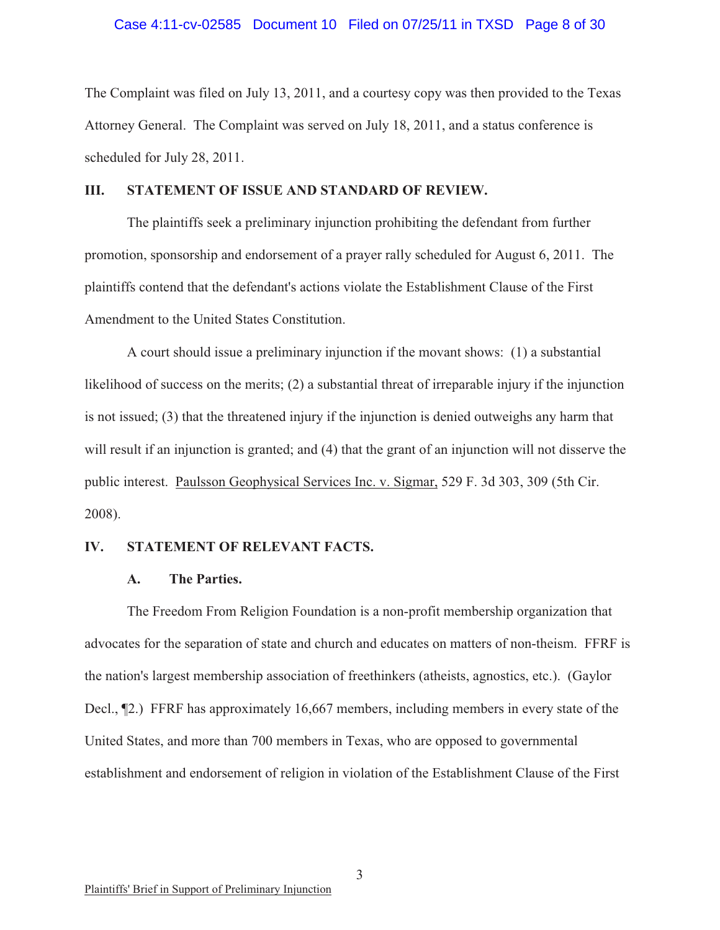#### Case 4:11-cv-02585 Document 10 Filed on 07/25/11 in TXSD Page 8 of 30

The Complaint was filed on July 13, 2011, and a courtesy copy was then provided to the Texas Attorney General. The Complaint was served on July 18, 2011, and a status conference is scheduled for July 28, 2011.

#### **III. STATEMENT OF ISSUE AND STANDARD OF REVIEW.**

The plaintiffs seek a preliminary injunction prohibiting the defendant from further promotion, sponsorship and endorsement of a prayer rally scheduled for August 6, 2011. The plaintiffs contend that the defendant's actions violate the Establishment Clause of the First Amendment to the United States Constitution.

A court should issue a preliminary injunction if the movant shows: (1) a substantial likelihood of success on the merits; (2) a substantial threat of irreparable injury if the injunction is not issued; (3) that the threatened injury if the injunction is denied outweighs any harm that will result if an injunction is granted; and (4) that the grant of an injunction will not disserve the public interest. Paulsson Geophysical Services Inc. v. Sigmar, 529 F. 3d 303, 309 (5th Cir. 2008).

#### **IV. STATEMENT OF RELEVANT FACTS.**

#### **A. The Parties.**

The Freedom From Religion Foundation is a non-profit membership organization that advocates for the separation of state and church and educates on matters of non-theism. FFRF is the nation's largest membership association of freethinkers (atheists, agnostics, etc.). (Gaylor Decl., ¶2.) FFRF has approximately 16,667 members, including members in every state of the United States, and more than 700 members in Texas, who are opposed to governmental establishment and endorsement of religion in violation of the Establishment Clause of the First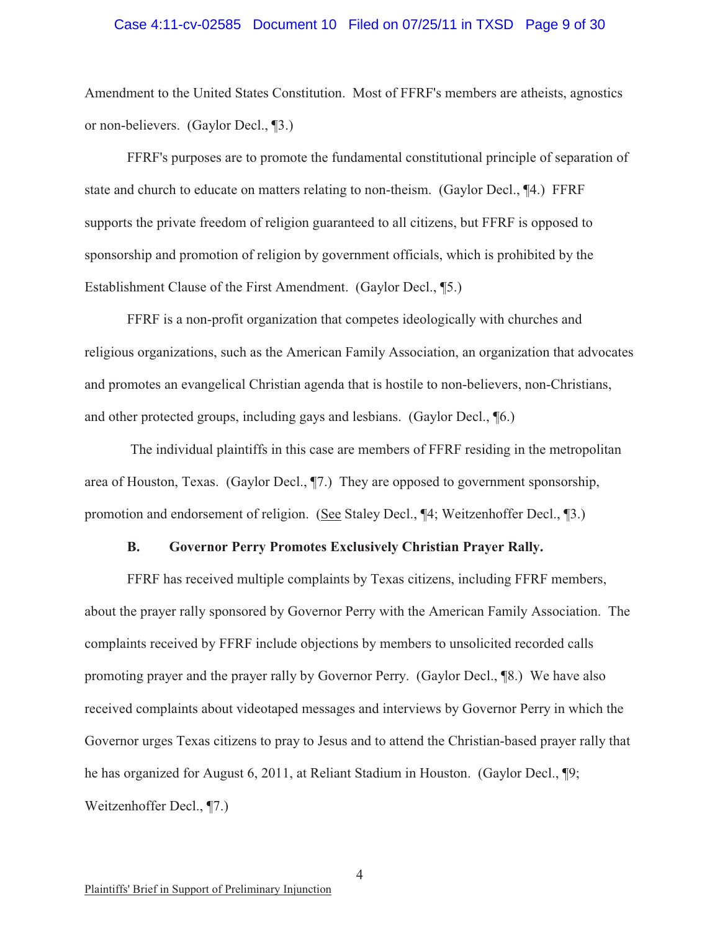#### Case 4:11-cv-02585 Document 10 Filed on 07/25/11 in TXSD Page 9 of 30

Amendment to the United States Constitution. Most of FFRF's members are atheists, agnostics or non-believers. (Gaylor Decl., ¶3.)

FFRF's purposes are to promote the fundamental constitutional principle of separation of state and church to educate on matters relating to non-theism. (Gaylor Decl., ¶4.) FFRF supports the private freedom of religion guaranteed to all citizens, but FFRF is opposed to sponsorship and promotion of religion by government officials, which is prohibited by the Establishment Clause of the First Amendment. (Gaylor Decl., ¶5.)

FFRF is a non-profit organization that competes ideologically with churches and religious organizations, such as the American Family Association, an organization that advocates and promotes an evangelical Christian agenda that is hostile to non-believers, non-Christians, and other protected groups, including gays and lesbians. (Gaylor Decl., ¶6.)

The individual plaintiffs in this case are members of FFRF residing in the metropolitan area of Houston, Texas. (Gaylor Decl., ¶7.) They are opposed to government sponsorship, promotion and endorsement of religion. (See Staley Decl., ¶4; Weitzenhoffer Decl., ¶3.)

#### **B. Governor Perry Promotes Exclusively Christian Prayer Rally.**

FFRF has received multiple complaints by Texas citizens, including FFRF members, about the prayer rally sponsored by Governor Perry with the American Family Association. The complaints received by FFRF include objections by members to unsolicited recorded calls promoting prayer and the prayer rally by Governor Perry. (Gaylor Decl., ¶8.) We have also received complaints about videotaped messages and interviews by Governor Perry in which the Governor urges Texas citizens to pray to Jesus and to attend the Christian-based prayer rally that he has organized for August 6, 2011, at Reliant Stadium in Houston. (Gaylor Decl., ¶9; Weitzenhoffer Decl., ¶7.)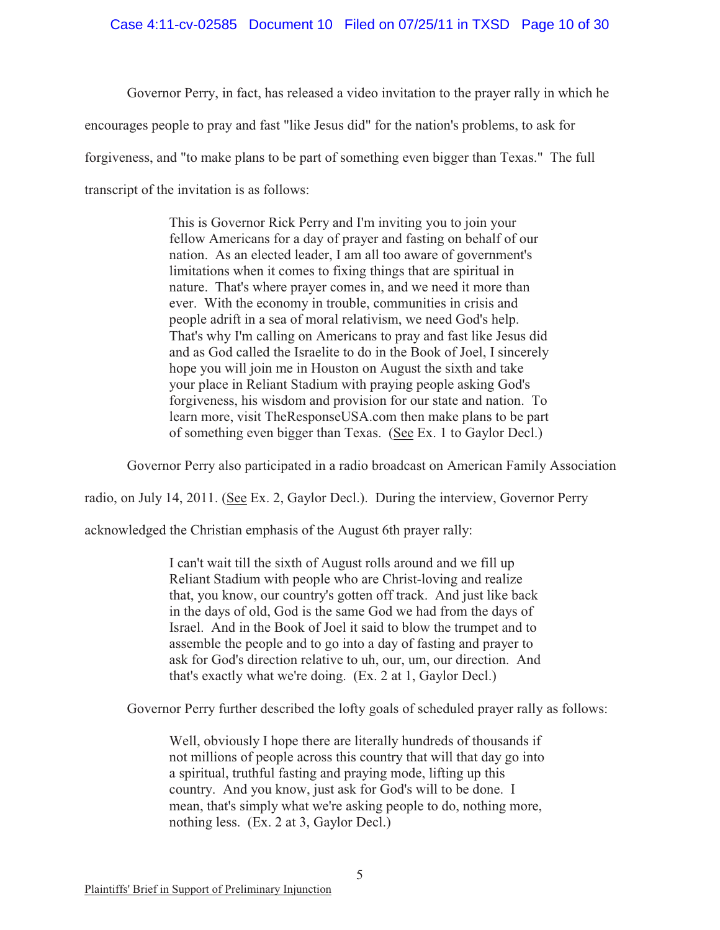### Case 4:11-cv-02585 Document 10 Filed on 07/25/11 in TXSD Page 10 of 30

Governor Perry, in fact, has released a video invitation to the prayer rally in which he

encourages people to pray and fast "like Jesus did" for the nation's problems, to ask for

forgiveness, and "to make plans to be part of something even bigger than Texas." The full

transcript of the invitation is as follows:

This is Governor Rick Perry and I'm inviting you to join your fellow Americans for a day of prayer and fasting on behalf of our nation. As an elected leader, I am all too aware of government's limitations when it comes to fixing things that are spiritual in nature. That's where prayer comes in, and we need it more than ever. With the economy in trouble, communities in crisis and people adrift in a sea of moral relativism, we need God's help. That's why I'm calling on Americans to pray and fast like Jesus did and as God called the Israelite to do in the Book of Joel, I sincerely hope you will join me in Houston on August the sixth and take your place in Reliant Stadium with praying people asking God's forgiveness, his wisdom and provision for our state and nation. To learn more, visit TheResponseUSA.com then make plans to be part of something even bigger than Texas. (See Ex. 1 to Gaylor Decl.)

Governor Perry also participated in a radio broadcast on American Family Association

radio, on July 14, 2011. (See Ex. 2, Gaylor Decl.). During the interview, Governor Perry

acknowledged the Christian emphasis of the August 6th prayer rally:

I can't wait till the sixth of August rolls around and we fill up Reliant Stadium with people who are Christ-loving and realize that, you know, our country's gotten off track. And just like back in the days of old, God is the same God we had from the days of Israel. And in the Book of Joel it said to blow the trumpet and to assemble the people and to go into a day of fasting and prayer to ask for God's direction relative to uh, our, um, our direction. And that's exactly what we're doing. (Ex. 2 at 1, Gaylor Decl.)

Governor Perry further described the lofty goals of scheduled prayer rally as follows:

Well, obviously I hope there are literally hundreds of thousands if not millions of people across this country that will that day go into a spiritual, truthful fasting and praying mode, lifting up this country. And you know, just ask for God's will to be done. I mean, that's simply what we're asking people to do, nothing more, nothing less. (Ex. 2 at 3, Gaylor Decl.)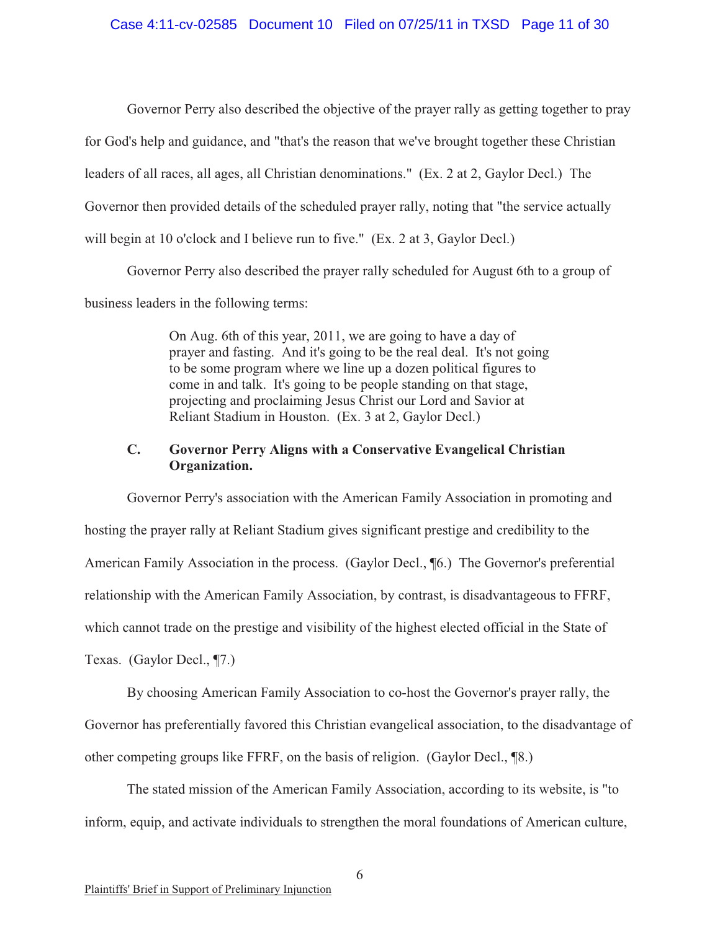#### Case 4:11-cv-02585 Document 10 Filed on 07/25/11 in TXSD Page 11 of 30

Governor Perry also described the objective of the prayer rally as getting together to pray for God's help and guidance, and "that's the reason that we've brought together these Christian leaders of all races, all ages, all Christian denominations." (Ex. 2 at 2, Gaylor Decl.) The Governor then provided details of the scheduled prayer rally, noting that "the service actually will begin at 10 o'clock and I believe run to five." (Ex. 2 at 3, Gaylor Decl.)

Governor Perry also described the prayer rally scheduled for August 6th to a group of

business leaders in the following terms:

On Aug. 6th of this year, 2011, we are going to have a day of prayer and fasting. And it's going to be the real deal. It's not going to be some program where we line up a dozen political figures to come in and talk. It's going to be people standing on that stage, projecting and proclaiming Jesus Christ our Lord and Savior at Reliant Stadium in Houston. (Ex. 3 at 2, Gaylor Decl.)

### **C. Governor Perry Aligns with a Conservative Evangelical Christian Organization.**

Governor Perry's association with the American Family Association in promoting and hosting the prayer rally at Reliant Stadium gives significant prestige and credibility to the American Family Association in the process. (Gaylor Decl., ¶6.) The Governor's preferential relationship with the American Family Association, by contrast, is disadvantageous to FFRF, which cannot trade on the prestige and visibility of the highest elected official in the State of Texas. (Gaylor Decl., ¶7.)

By choosing American Family Association to co-host the Governor's prayer rally, the Governor has preferentially favored this Christian evangelical association, to the disadvantage of other competing groups like FFRF, on the basis of religion. (Gaylor Decl., ¶8.)

The stated mission of the American Family Association, according to its website, is "to inform, equip, and activate individuals to strengthen the moral foundations of American culture,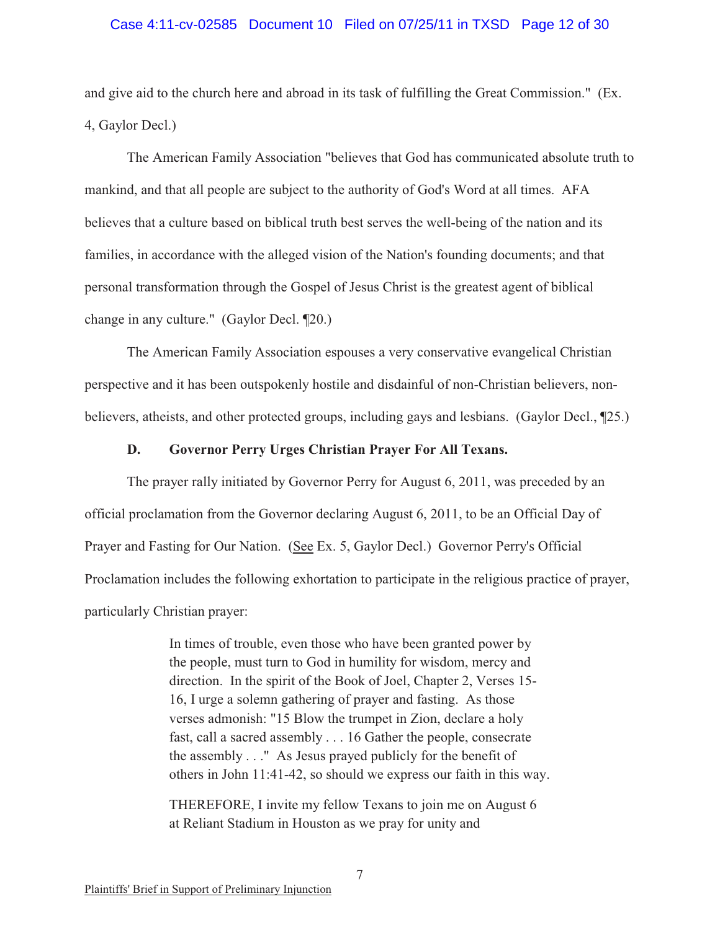#### Case 4:11-cv-02585 Document 10 Filed on 07/25/11 in TXSD Page 12 of 30

and give aid to the church here and abroad in its task of fulfilling the Great Commission." (Ex. 4, Gaylor Decl.)

The American Family Association "believes that God has communicated absolute truth to mankind, and that all people are subject to the authority of God's Word at all times. AFA believes that a culture based on biblical truth best serves the well-being of the nation and its families, in accordance with the alleged vision of the Nation's founding documents; and that personal transformation through the Gospel of Jesus Christ is the greatest agent of biblical change in any culture." (Gaylor Decl. ¶20.)

The American Family Association espouses a very conservative evangelical Christian perspective and it has been outspokenly hostile and disdainful of non-Christian believers, nonbelievers, atheists, and other protected groups, including gays and lesbians. (Gaylor Decl., ¶25.)

### **D. Governor Perry Urges Christian Prayer For All Texans.**

The prayer rally initiated by Governor Perry for August 6, 2011, was preceded by an official proclamation from the Governor declaring August 6, 2011, to be an Official Day of Prayer and Fasting for Our Nation. (See Ex. 5, Gaylor Decl.) Governor Perry's Official Proclamation includes the following exhortation to participate in the religious practice of prayer, particularly Christian prayer:

> In times of trouble, even those who have been granted power by the people, must turn to God in humility for wisdom, mercy and direction. In the spirit of the Book of Joel, Chapter 2, Verses 15- 16, I urge a solemn gathering of prayer and fasting. As those verses admonish: "15 Blow the trumpet in Zion, declare a holy fast, call a sacred assembly . . . 16 Gather the people, consecrate the assembly . . ." As Jesus prayed publicly for the benefit of others in John 11:41-42, so should we express our faith in this way.

THEREFORE, I invite my fellow Texans to join me on August 6 at Reliant Stadium in Houston as we pray for unity and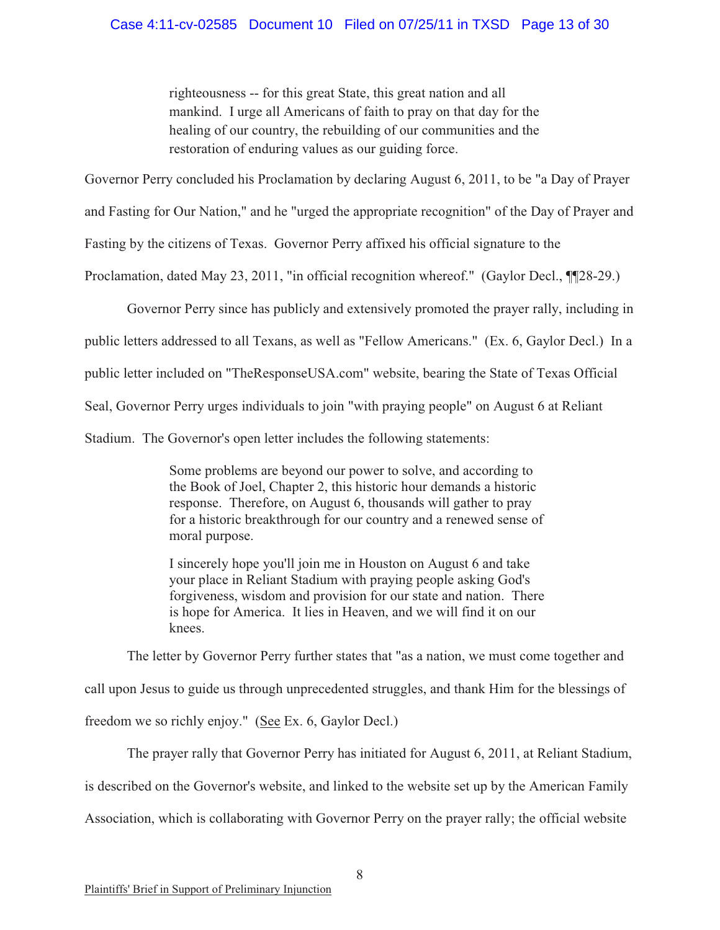### Case 4:11-cv-02585 Document 10 Filed on 07/25/11 in TXSD Page 13 of 30

righteousness -- for this great State, this great nation and all mankind. I urge all Americans of faith to pray on that day for the healing of our country, the rebuilding of our communities and the restoration of enduring values as our guiding force.

Governor Perry concluded his Proclamation by declaring August 6, 2011, to be "a Day of Prayer

and Fasting for Our Nation," and he "urged the appropriate recognition" of the Day of Prayer and

Fasting by the citizens of Texas. Governor Perry affixed his official signature to the

Proclamation, dated May 23, 2011, "in official recognition whereof." (Gaylor Decl., ¶¶28-29.)

Governor Perry since has publicly and extensively promoted the prayer rally, including in

public letters addressed to all Texans, as well as "Fellow Americans." (Ex. 6, Gaylor Decl.) In a

public letter included on "TheResponseUSA.com" website, bearing the State of Texas Official

Seal, Governor Perry urges individuals to join "with praying people" on August 6 at Reliant

Stadium. The Governor's open letter includes the following statements:

Some problems are beyond our power to solve, and according to the Book of Joel, Chapter 2, this historic hour demands a historic response. Therefore, on August 6, thousands will gather to pray for a historic breakthrough for our country and a renewed sense of moral purpose.

I sincerely hope you'll join me in Houston on August 6 and take your place in Reliant Stadium with praying people asking God's forgiveness, wisdom and provision for our state and nation. There is hope for America. It lies in Heaven, and we will find it on our knees.

The letter by Governor Perry further states that "as a nation, we must come together and call upon Jesus to guide us through unprecedented struggles, and thank Him for the blessings of freedom we so richly enjoy." (See Ex. 6, Gaylor Decl.)

The prayer rally that Governor Perry has initiated for August 6, 2011, at Reliant Stadium, is described on the Governor's website, and linked to the website set up by the American Family Association, which is collaborating with Governor Perry on the prayer rally; the official website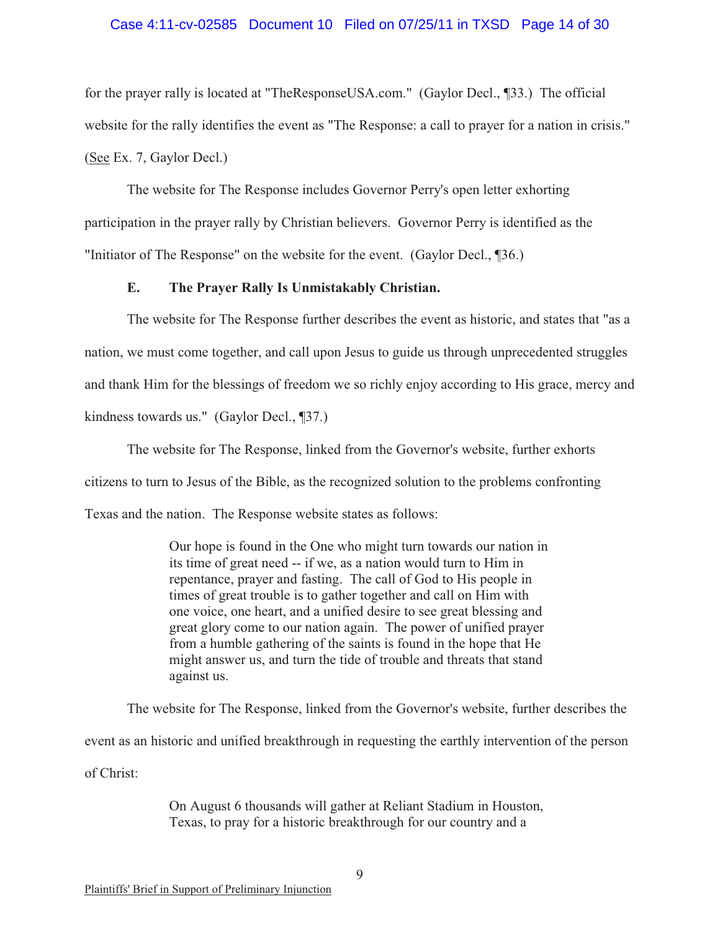#### Case 4:11-cv-02585 Document 10 Filed on 07/25/11 in TXSD Page 14 of 30

for the prayer rally is located at "TheResponseUSA.com." (Gaylor Decl., ¶33.) The official website for the rally identifies the event as "The Response: a call to prayer for a nation in crisis." (See Ex. 7, Gaylor Decl.)

The website for The Response includes Governor Perry's open letter exhorting participation in the prayer rally by Christian believers. Governor Perry is identified as the "Initiator of The Response" on the website for the event. (Gaylor Decl., ¶36.)

#### **E. The Prayer Rally Is Unmistakably Christian.**

The website for The Response further describes the event as historic, and states that "as a nation, we must come together, and call upon Jesus to guide us through unprecedented struggles and thank Him for the blessings of freedom we so richly enjoy according to His grace, mercy and kindness towards us." (Gaylor Decl., ¶37.)

The website for The Response, linked from the Governor's website, further exhorts citizens to turn to Jesus of the Bible, as the recognized solution to the problems confronting Texas and the nation. The Response website states as follows:

> Our hope is found in the One who might turn towards our nation in its time of great need -- if we, as a nation would turn to Him in repentance, prayer and fasting. The call of God to His people in times of great trouble is to gather together and call on Him with one voice, one heart, and a unified desire to see great blessing and great glory come to our nation again. The power of unified prayer from a humble gathering of the saints is found in the hope that He might answer us, and turn the tide of trouble and threats that stand against us.

The website for The Response, linked from the Governor's website, further describes the event as an historic and unified breakthrough in requesting the earthly intervention of the person of Christ:

> On August 6 thousands will gather at Reliant Stadium in Houston, Texas, to pray for a historic breakthrough for our country and a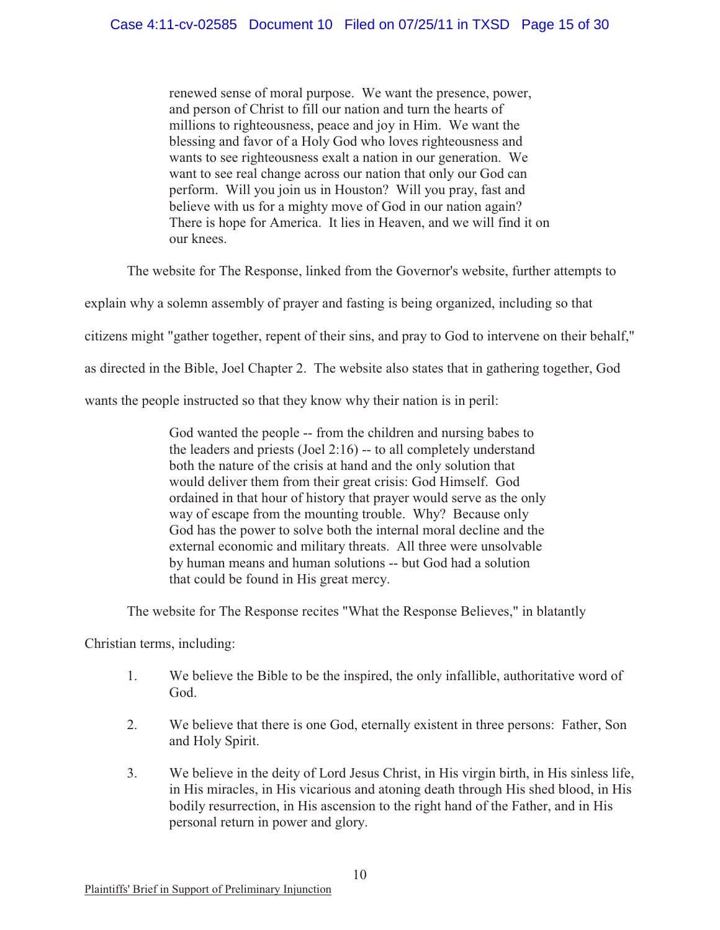renewed sense of moral purpose. We want the presence, power, and person of Christ to fill our nation and turn the hearts of millions to righteousness, peace and joy in Him. We want the blessing and favor of a Holy God who loves righteousness and wants to see righteousness exalt a nation in our generation. We want to see real change across our nation that only our God can perform. Will you join us in Houston? Will you pray, fast and believe with us for a mighty move of God in our nation again? There is hope for America. It lies in Heaven, and we will find it on our knees.

The website for The Response, linked from the Governor's website, further attempts to

explain why a solemn assembly of prayer and fasting is being organized, including so that

citizens might "gather together, repent of their sins, and pray to God to intervene on their behalf,"

as directed in the Bible, Joel Chapter 2. The website also states that in gathering together, God

wants the people instructed so that they know why their nation is in peril:

God wanted the people -- from the children and nursing babes to the leaders and priests (Joel 2:16) -- to all completely understand both the nature of the crisis at hand and the only solution that would deliver them from their great crisis: God Himself. God ordained in that hour of history that prayer would serve as the only way of escape from the mounting trouble. Why? Because only God has the power to solve both the internal moral decline and the external economic and military threats. All three were unsolvable by human means and human solutions -- but God had a solution that could be found in His great mercy.

The website for The Response recites "What the Response Believes," in blatantly

Christian terms, including:

- 1. We believe the Bible to be the inspired, the only infallible, authoritative word of God.
- 2. We believe that there is one God, eternally existent in three persons: Father, Son and Holy Spirit.
- 3. We believe in the deity of Lord Jesus Christ, in His virgin birth, in His sinless life, in His miracles, in His vicarious and atoning death through His shed blood, in His bodily resurrection, in His ascension to the right hand of the Father, and in His personal return in power and glory.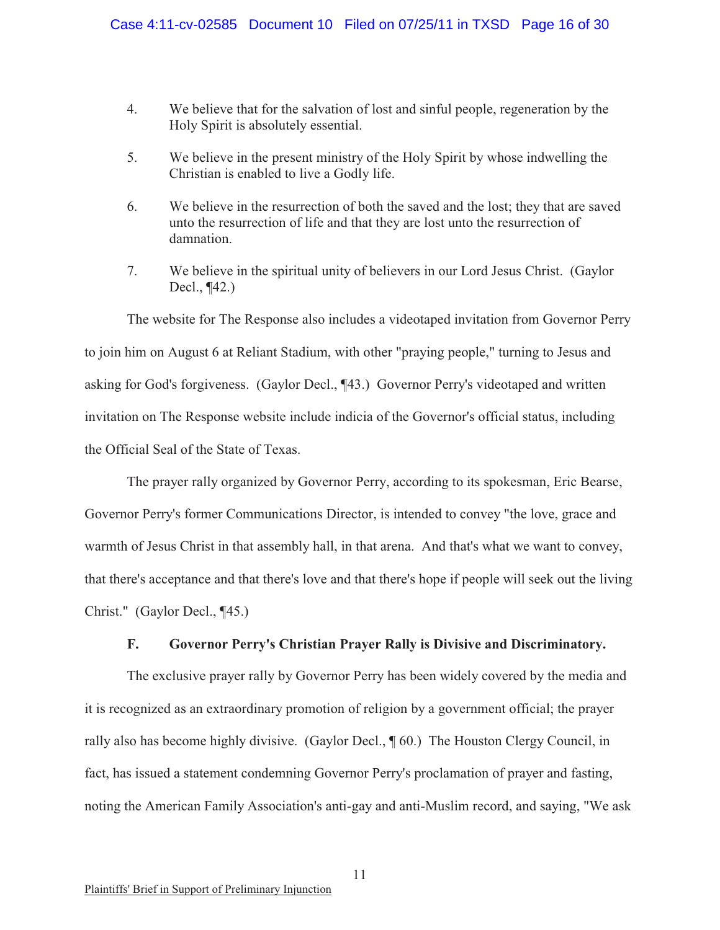- 4. We believe that for the salvation of lost and sinful people, regeneration by the Holy Spirit is absolutely essential.
- 5. We believe in the present ministry of the Holy Spirit by whose indwelling the Christian is enabled to live a Godly life.
- 6. We believe in the resurrection of both the saved and the lost; they that are saved unto the resurrection of life and that they are lost unto the resurrection of damnation.
- 7. We believe in the spiritual unity of believers in our Lord Jesus Christ. (Gaylor Decl., ¶42.)

The website for The Response also includes a videotaped invitation from Governor Perry to join him on August 6 at Reliant Stadium, with other "praying people," turning to Jesus and asking for God's forgiveness. (Gaylor Decl., ¶43.) Governor Perry's videotaped and written invitation on The Response website include indicia of the Governor's official status, including the Official Seal of the State of Texas.

The prayer rally organized by Governor Perry, according to its spokesman, Eric Bearse, Governor Perry's former Communications Director, is intended to convey "the love, grace and warmth of Jesus Christ in that assembly hall, in that arena. And that's what we want to convey, that there's acceptance and that there's love and that there's hope if people will seek out the living Christ." (Gaylor Decl., ¶45.)

### **F. Governor Perry's Christian Prayer Rally is Divisive and Discriminatory.**

The exclusive prayer rally by Governor Perry has been widely covered by the media and it is recognized as an extraordinary promotion of religion by a government official; the prayer rally also has become highly divisive. (Gaylor Decl., ¶ 60.) The Houston Clergy Council, in fact, has issued a statement condemning Governor Perry's proclamation of prayer and fasting, noting the American Family Association's anti-gay and anti-Muslim record, and saying, "We ask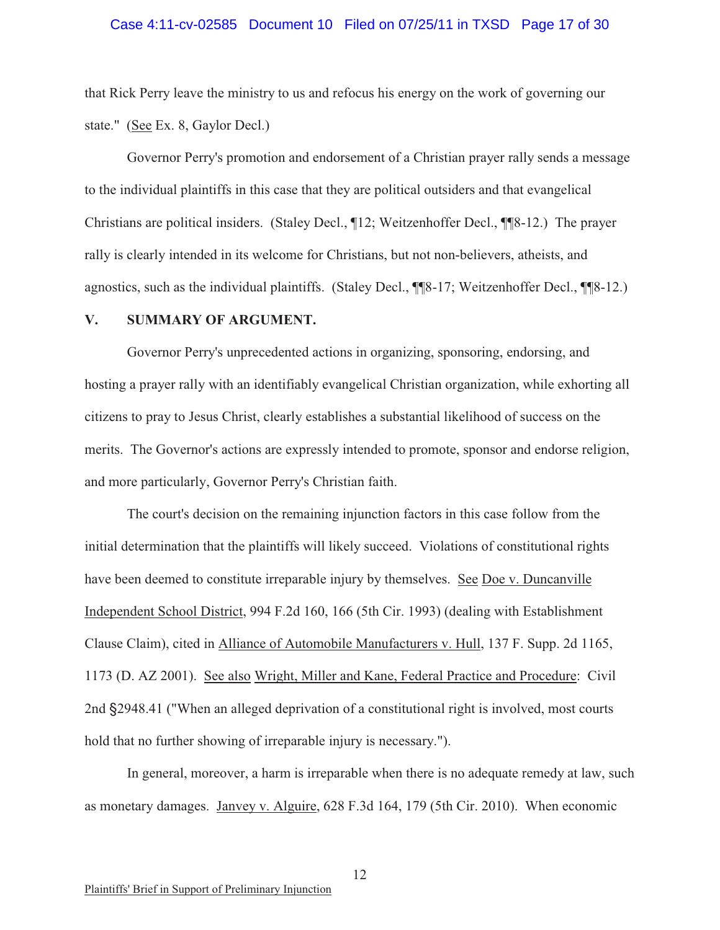#### Case 4:11-cv-02585 Document 10 Filed on 07/25/11 in TXSD Page 17 of 30

that Rick Perry leave the ministry to us and refocus his energy on the work of governing our state." (See Ex. 8, Gaylor Decl.)

Governor Perry's promotion and endorsement of a Christian prayer rally sends a message to the individual plaintiffs in this case that they are political outsiders and that evangelical Christians are political insiders. (Staley Decl., ¶12; Weitzenhoffer Decl., ¶¶8-12.) The prayer rally is clearly intended in its welcome for Christians, but not non-believers, atheists, and agnostics, such as the individual plaintiffs. (Staley Decl., ¶¶8-17; Weitzenhoffer Decl., ¶¶8-12.)

#### **V. SUMMARY OF ARGUMENT.**

Governor Perry's unprecedented actions in organizing, sponsoring, endorsing, and hosting a prayer rally with an identifiably evangelical Christian organization, while exhorting all citizens to pray to Jesus Christ, clearly establishes a substantial likelihood of success on the merits. The Governor's actions are expressly intended to promote, sponsor and endorse religion, and more particularly, Governor Perry's Christian faith.

The court's decision on the remaining injunction factors in this case follow from the initial determination that the plaintiffs will likely succeed. Violations of constitutional rights have been deemed to constitute irreparable injury by themselves. See Doe v. Duncanville Independent School District, 994 F.2d 160, 166 (5th Cir. 1993) (dealing with Establishment Clause Claim), cited in Alliance of Automobile Manufacturers v. Hull, 137 F. Supp. 2d 1165, 1173 (D. AZ 2001). See also Wright, Miller and Kane, Federal Practice and Procedure: Civil 2nd §2948.41 ("When an alleged deprivation of a constitutional right is involved, most courts hold that no further showing of irreparable injury is necessary.").

In general, moreover, a harm is irreparable when there is no adequate remedy at law, such as monetary damages. Janvey v. Alguire, 628 F.3d 164, 179 (5th Cir. 2010). When economic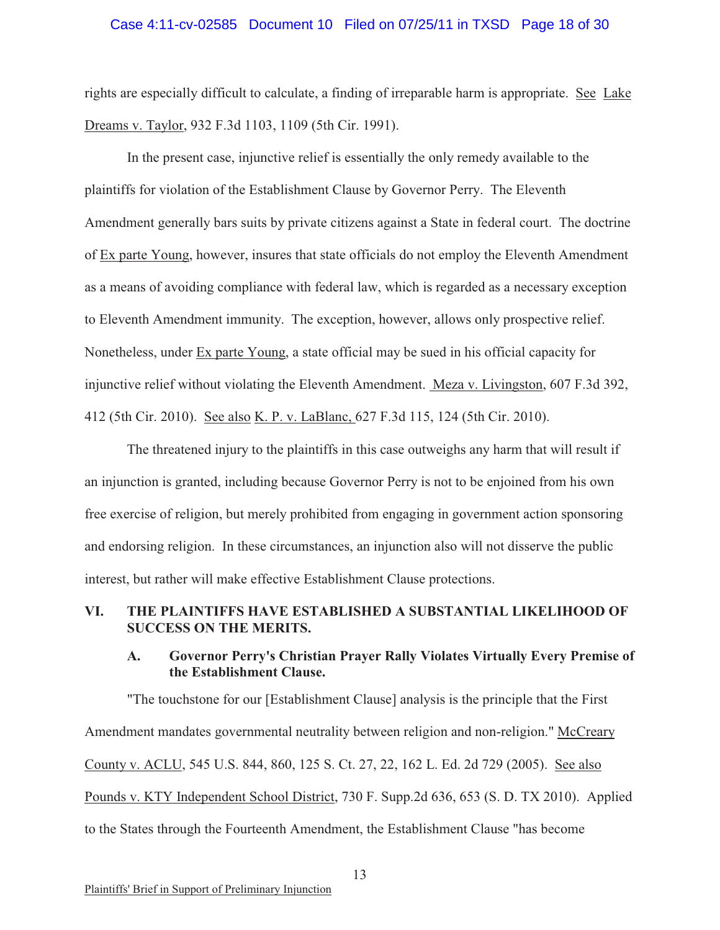#### Case 4:11-cv-02585 Document 10 Filed on 07/25/11 in TXSD Page 18 of 30

rights are especially difficult to calculate, a finding of irreparable harm is appropriate. See Lake Dreams v. Taylor, 932 F.3d 1103, 1109 (5th Cir. 1991).

In the present case, injunctive relief is essentially the only remedy available to the plaintiffs for violation of the Establishment Clause by Governor Perry. The Eleventh Amendment generally bars suits by private citizens against a State in federal court. The doctrine of Ex parte Young, however, insures that state officials do not employ the Eleventh Amendment as a means of avoiding compliance with federal law, which is regarded as a necessary exception to Eleventh Amendment immunity. The exception, however, allows only prospective relief. Nonetheless, under Ex parte Young, a state official may be sued in his official capacity for injunctive relief without violating the Eleventh Amendment. Meza v. Livingston, 607 F.3d 392, 412 (5th Cir. 2010). See also K. P. v. LaBlanc, 627 F.3d 115, 124 (5th Cir. 2010).

The threatened injury to the plaintiffs in this case outweighs any harm that will result if an injunction is granted, including because Governor Perry is not to be enjoined from his own free exercise of religion, but merely prohibited from engaging in government action sponsoring and endorsing religion. In these circumstances, an injunction also will not disserve the public interest, but rather will make effective Establishment Clause protections.

### **VI. THE PLAINTIFFS HAVE ESTABLISHED A SUBSTANTIAL LIKELIHOOD OF SUCCESS ON THE MERITS.**

### **A. Governor Perry's Christian Prayer Rally Violates Virtually Every Premise of the Establishment Clause.**

"The touchstone for our [Establishment Clause] analysis is the principle that the First Amendment mandates governmental neutrality between religion and non-religion." McCreary County v. ACLU, 545 U.S. 844, 860, 125 S. Ct. 27, 22, 162 L. Ed. 2d 729 (2005). See also Pounds v. KTY Independent School District, 730 F. Supp.2d 636, 653 (S. D. TX 2010). Applied to the States through the Fourteenth Amendment, the Establishment Clause "has become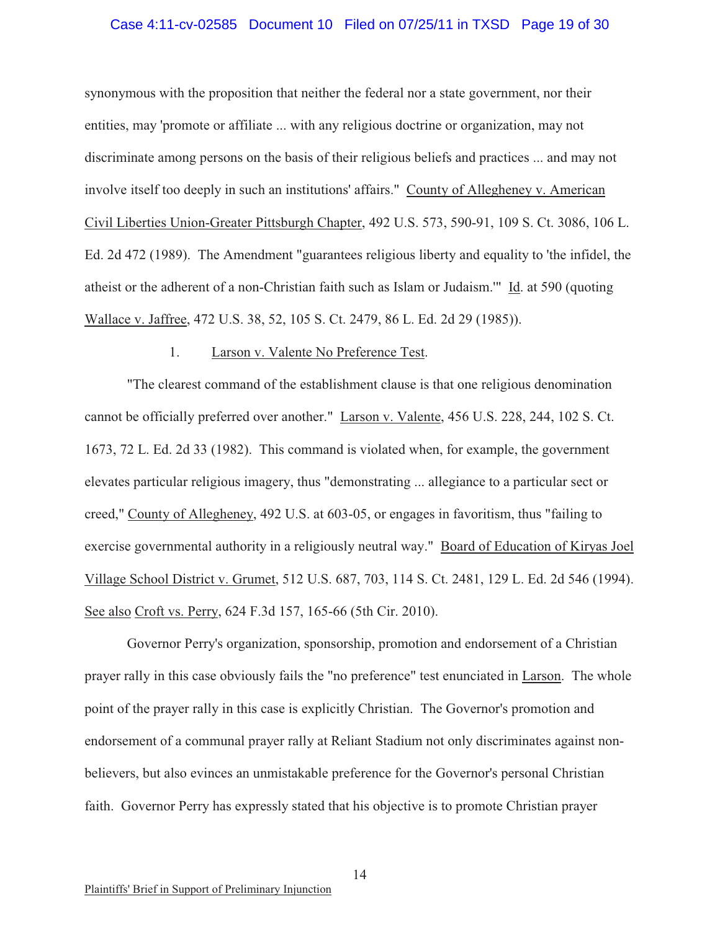#### Case 4:11-cv-02585 Document 10 Filed on 07/25/11 in TXSD Page 19 of 30

synonymous with the proposition that neither the federal nor a state government, nor their entities, may 'promote or affiliate ... with any religious doctrine or organization, may not discriminate among persons on the basis of their religious beliefs and practices ... and may not involve itself too deeply in such an institutions' affairs." County of Allegheney v. American Civil Liberties Union-Greater Pittsburgh Chapter, 492 U.S. 573, 590-91, 109 S. Ct. 3086, 106 L. Ed. 2d 472 (1989). The Amendment "guarantees religious liberty and equality to 'the infidel, the atheist or the adherent of a non-Christian faith such as Islam or Judaism.'" Id. at 590 (quoting Wallace v. Jaffree, 472 U.S. 38, 52, 105 S. Ct. 2479, 86 L. Ed. 2d 29 (1985)).

### 1. Larson v. Valente No Preference Test.

"The clearest command of the establishment clause is that one religious denomination cannot be officially preferred over another." Larson v. Valente, 456 U.S. 228, 244, 102 S. Ct. 1673, 72 L. Ed. 2d 33 (1982). This command is violated when, for example, the government elevates particular religious imagery, thus "demonstrating ... allegiance to a particular sect or creed," County of Allegheney, 492 U.S. at 603-05, or engages in favoritism, thus "failing to exercise governmental authority in a religiously neutral way." Board of Education of Kiryas Joel Village School District v. Grumet, 512 U.S. 687, 703, 114 S. Ct. 2481, 129 L. Ed. 2d 546 (1994). See also Croft vs. Perry, 624 F.3d 157, 165-66 (5th Cir. 2010).

Governor Perry's organization, sponsorship, promotion and endorsement of a Christian prayer rally in this case obviously fails the "no preference" test enunciated in Larson. The whole point of the prayer rally in this case is explicitly Christian. The Governor's promotion and endorsement of a communal prayer rally at Reliant Stadium not only discriminates against nonbelievers, but also evinces an unmistakable preference for the Governor's personal Christian faith. Governor Perry has expressly stated that his objective is to promote Christian prayer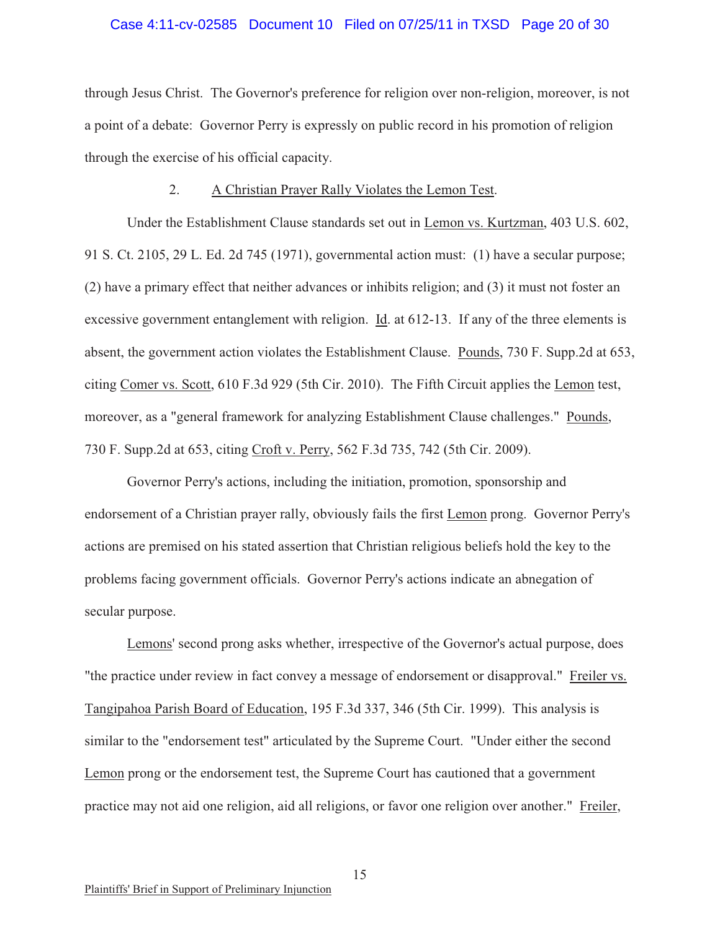#### Case 4:11-cv-02585 Document 10 Filed on 07/25/11 in TXSD Page 20 of 30

through Jesus Christ. The Governor's preference for religion over non-religion, moreover, is not a point of a debate: Governor Perry is expressly on public record in his promotion of religion through the exercise of his official capacity.

#### 2. A Christian Prayer Rally Violates the Lemon Test.

Under the Establishment Clause standards set out in Lemon vs. Kurtzman, 403 U.S. 602, 91 S. Ct. 2105, 29 L. Ed. 2d 745 (1971), governmental action must: (1) have a secular purpose; (2) have a primary effect that neither advances or inhibits religion; and (3) it must not foster an excessive government entanglement with religion. Id. at 612-13. If any of the three elements is absent, the government action violates the Establishment Clause. Pounds, 730 F. Supp.2d at 653, citing Comer vs. Scott, 610 F.3d 929 (5th Cir. 2010). The Fifth Circuit applies the Lemon test, moreover, as a "general framework for analyzing Establishment Clause challenges." Pounds, 730 F. Supp.2d at 653, citing Croft v. Perry, 562 F.3d 735, 742 (5th Cir. 2009).

Governor Perry's actions, including the initiation, promotion, sponsorship and endorsement of a Christian prayer rally, obviously fails the first Lemon prong. Governor Perry's actions are premised on his stated assertion that Christian religious beliefs hold the key to the problems facing government officials. Governor Perry's actions indicate an abnegation of secular purpose.

Lemons' second prong asks whether, irrespective of the Governor's actual purpose, does "the practice under review in fact convey a message of endorsement or disapproval." Freiler vs. Tangipahoa Parish Board of Education, 195 F.3d 337, 346 (5th Cir. 1999). This analysis is similar to the "endorsement test" articulated by the Supreme Court. "Under either the second Lemon prong or the endorsement test, the Supreme Court has cautioned that a government practice may not aid one religion, aid all religions, or favor one religion over another." Freiler,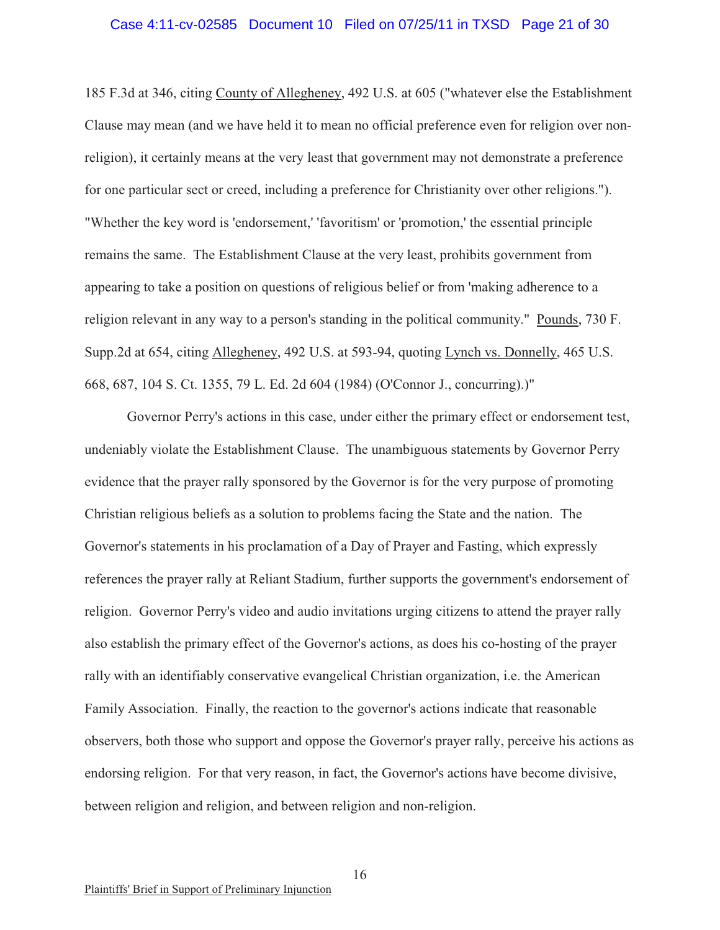#### Case 4:11-cv-02585 Document 10 Filed on 07/25/11 in TXSD Page 21 of 30

185 F.3d at 346, citing County of Allegheney, 492 U.S. at 605 ("whatever else the Establishment Clause may mean (and we have held it to mean no official preference even for religion over nonreligion), it certainly means at the very least that government may not demonstrate a preference for one particular sect or creed, including a preference for Christianity over other religions."). "Whether the key word is 'endorsement,' 'favoritism' or 'promotion,' the essential principle remains the same. The Establishment Clause at the very least, prohibits government from appearing to take a position on questions of religious belief or from 'making adherence to a religion relevant in any way to a person's standing in the political community." Pounds, 730 F. Supp.2d at 654, citing Allegheney, 492 U.S. at 593-94, quoting Lynch vs. Donnelly, 465 U.S. 668, 687, 104 S. Ct. 1355, 79 L. Ed. 2d 604 (1984) (O'Connor J., concurring).)"

Governor Perry's actions in this case, under either the primary effect or endorsement test, undeniably violate the Establishment Clause. The unambiguous statements by Governor Perry evidence that the prayer rally sponsored by the Governor is for the very purpose of promoting Christian religious beliefs as a solution to problems facing the State and the nation. The Governor's statements in his proclamation of a Day of Prayer and Fasting, which expressly references the prayer rally at Reliant Stadium, further supports the government's endorsement of religion. Governor Perry's video and audio invitations urging citizens to attend the prayer rally also establish the primary effect of the Governor's actions, as does his co-hosting of the prayer rally with an identifiably conservative evangelical Christian organization, i.e. the American Family Association. Finally, the reaction to the governor's actions indicate that reasonable observers, both those who support and oppose the Governor's prayer rally, perceive his actions as endorsing religion. For that very reason, in fact, the Governor's actions have become divisive, between religion and religion, and between religion and non-religion.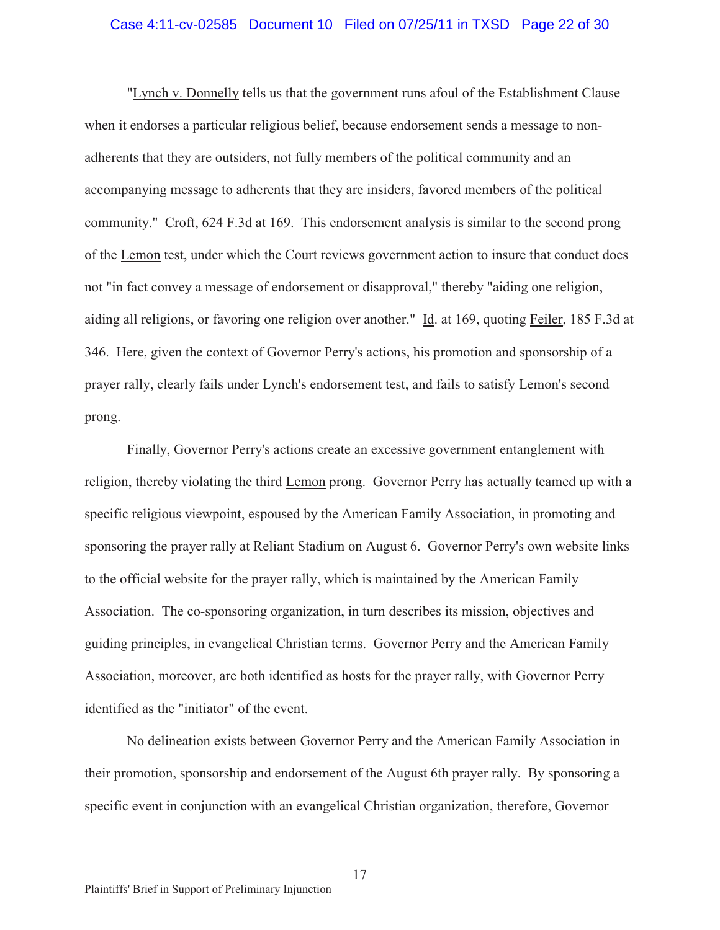#### Case 4:11-cv-02585 Document 10 Filed on 07/25/11 in TXSD Page 22 of 30

"Lynch v. Donnelly tells us that the government runs afoul of the Establishment Clause when it endorses a particular religious belief, because endorsement sends a message to nonadherents that they are outsiders, not fully members of the political community and an accompanying message to adherents that they are insiders, favored members of the political community." Croft, 624 F.3d at 169. This endorsement analysis is similar to the second prong of the Lemon test, under which the Court reviews government action to insure that conduct does not "in fact convey a message of endorsement or disapproval," thereby "aiding one religion, aiding all religions, or favoring one religion over another." Id. at 169, quoting Feiler, 185 F.3d at 346. Here, given the context of Governor Perry's actions, his promotion and sponsorship of a prayer rally, clearly fails under Lynch's endorsement test, and fails to satisfy Lemon's second prong.

Finally, Governor Perry's actions create an excessive government entanglement with religion, thereby violating the third Lemon prong. Governor Perry has actually teamed up with a specific religious viewpoint, espoused by the American Family Association, in promoting and sponsoring the prayer rally at Reliant Stadium on August 6. Governor Perry's own website links to the official website for the prayer rally, which is maintained by the American Family Association. The co-sponsoring organization, in turn describes its mission, objectives and guiding principles, in evangelical Christian terms. Governor Perry and the American Family Association, moreover, are both identified as hosts for the prayer rally, with Governor Perry identified as the "initiator" of the event.

No delineation exists between Governor Perry and the American Family Association in their promotion, sponsorship and endorsement of the August 6th prayer rally. By sponsoring a specific event in conjunction with an evangelical Christian organization, therefore, Governor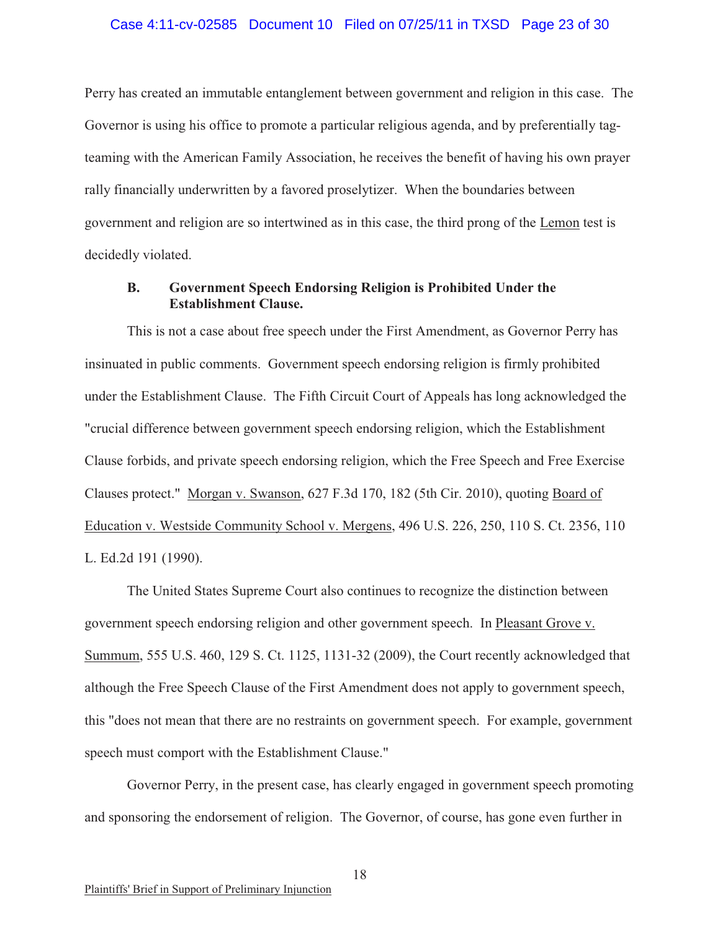#### Case 4:11-cv-02585 Document 10 Filed on 07/25/11 in TXSD Page 23 of 30

Perry has created an immutable entanglement between government and religion in this case. The Governor is using his office to promote a particular religious agenda, and by preferentially tagteaming with the American Family Association, he receives the benefit of having his own prayer rally financially underwritten by a favored proselytizer. When the boundaries between government and religion are so intertwined as in this case, the third prong of the Lemon test is decidedly violated.

### **B. Government Speech Endorsing Religion is Prohibited Under the Establishment Clause.**

This is not a case about free speech under the First Amendment, as Governor Perry has insinuated in public comments. Government speech endorsing religion is firmly prohibited under the Establishment Clause. The Fifth Circuit Court of Appeals has long acknowledged the "crucial difference between government speech endorsing religion, which the Establishment Clause forbids, and private speech endorsing religion, which the Free Speech and Free Exercise Clauses protect." Morgan v. Swanson, 627 F.3d 170, 182 (5th Cir. 2010), quoting Board of Education v. Westside Community School v. Mergens, 496 U.S. 226, 250, 110 S. Ct. 2356, 110 L. Ed.2d 191 (1990).

The United States Supreme Court also continues to recognize the distinction between government speech endorsing religion and other government speech. In Pleasant Grove v. Summum, 555 U.S. 460, 129 S. Ct. 1125, 1131-32 (2009), the Court recently acknowledged that although the Free Speech Clause of the First Amendment does not apply to government speech, this "does not mean that there are no restraints on government speech. For example, government speech must comport with the Establishment Clause."

Governor Perry, in the present case, has clearly engaged in government speech promoting and sponsoring the endorsement of religion. The Governor, of course, has gone even further in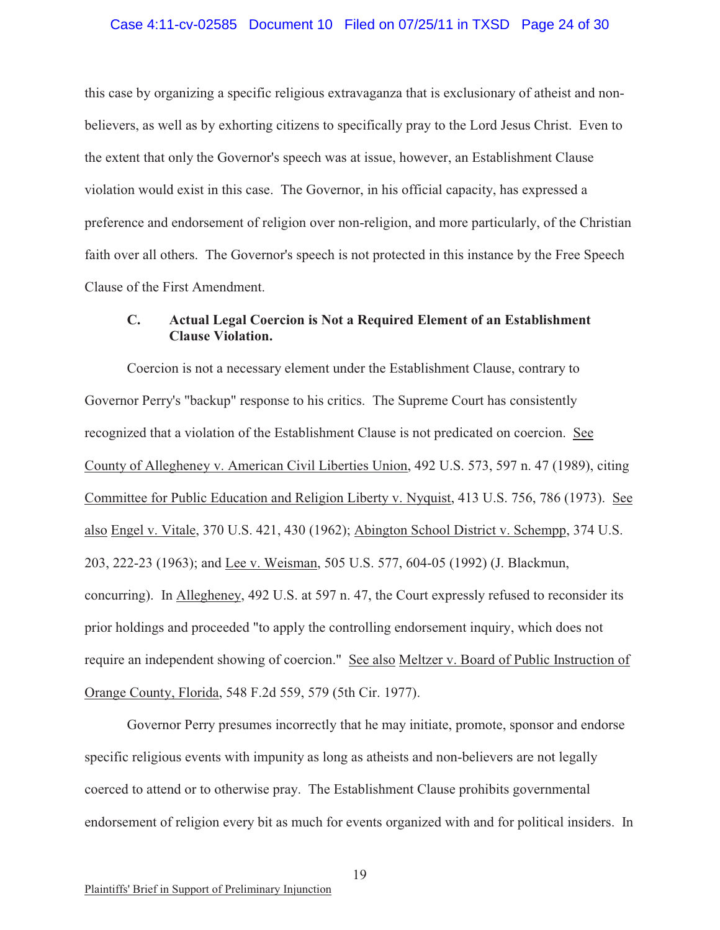#### Case 4:11-cv-02585 Document 10 Filed on 07/25/11 in TXSD Page 24 of 30

this case by organizing a specific religious extravaganza that is exclusionary of atheist and nonbelievers, as well as by exhorting citizens to specifically pray to the Lord Jesus Christ. Even to the extent that only the Governor's speech was at issue, however, an Establishment Clause violation would exist in this case. The Governor, in his official capacity, has expressed a preference and endorsement of religion over non-religion, and more particularly, of the Christian faith over all others. The Governor's speech is not protected in this instance by the Free Speech Clause of the First Amendment.

## **C. Actual Legal Coercion is Not a Required Element of an Establishment Clause Violation.**

Coercion is not a necessary element under the Establishment Clause, contrary to Governor Perry's "backup" response to his critics. The Supreme Court has consistently recognized that a violation of the Establishment Clause is not predicated on coercion. See County of Allegheney v. American Civil Liberties Union, 492 U.S. 573, 597 n. 47 (1989), citing Committee for Public Education and Religion Liberty v. Nyquist, 413 U.S. 756, 786 (1973). See also Engel v. Vitale, 370 U.S. 421, 430 (1962); Abington School District v. Schempp, 374 U.S. 203, 222-23 (1963); and Lee v. Weisman, 505 U.S. 577, 604-05 (1992) (J. Blackmun, concurring). In Allegheney, 492 U.S. at 597 n. 47, the Court expressly refused to reconsider its prior holdings and proceeded "to apply the controlling endorsement inquiry, which does not require an independent showing of coercion." See also Meltzer v. Board of Public Instruction of Orange County, Florida, 548 F.2d 559, 579 (5th Cir. 1977).

Governor Perry presumes incorrectly that he may initiate, promote, sponsor and endorse specific religious events with impunity as long as atheists and non-believers are not legally coerced to attend or to otherwise pray. The Establishment Clause prohibits governmental endorsement of religion every bit as much for events organized with and for political insiders. In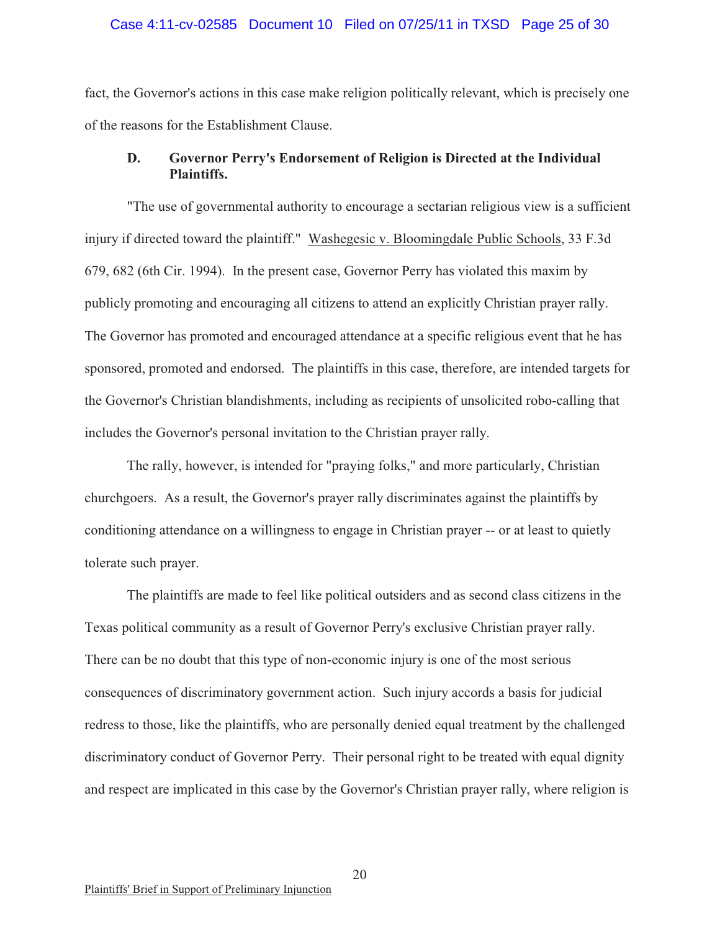#### Case 4:11-cv-02585 Document 10 Filed on 07/25/11 in TXSD Page 25 of 30

fact, the Governor's actions in this case make religion politically relevant, which is precisely one of the reasons for the Establishment Clause.

# **D. Governor Perry's Endorsement of Religion is Directed at the Individual Plaintiffs.**

"The use of governmental authority to encourage a sectarian religious view is a sufficient injury if directed toward the plaintiff." Washegesic v. Bloomingdale Public Schools, 33 F.3d 679, 682 (6th Cir. 1994). In the present case, Governor Perry has violated this maxim by publicly promoting and encouraging all citizens to attend an explicitly Christian prayer rally. The Governor has promoted and encouraged attendance at a specific religious event that he has sponsored, promoted and endorsed. The plaintiffs in this case, therefore, are intended targets for the Governor's Christian blandishments, including as recipients of unsolicited robo-calling that includes the Governor's personal invitation to the Christian prayer rally.

The rally, however, is intended for "praying folks," and more particularly, Christian churchgoers. As a result, the Governor's prayer rally discriminates against the plaintiffs by conditioning attendance on a willingness to engage in Christian prayer -- or at least to quietly tolerate such prayer.

The plaintiffs are made to feel like political outsiders and as second class citizens in the Texas political community as a result of Governor Perry's exclusive Christian prayer rally. There can be no doubt that this type of non-economic injury is one of the most serious consequences of discriminatory government action. Such injury accords a basis for judicial redress to those, like the plaintiffs, who are personally denied equal treatment by the challenged discriminatory conduct of Governor Perry. Their personal right to be treated with equal dignity and respect are implicated in this case by the Governor's Christian prayer rally, where religion is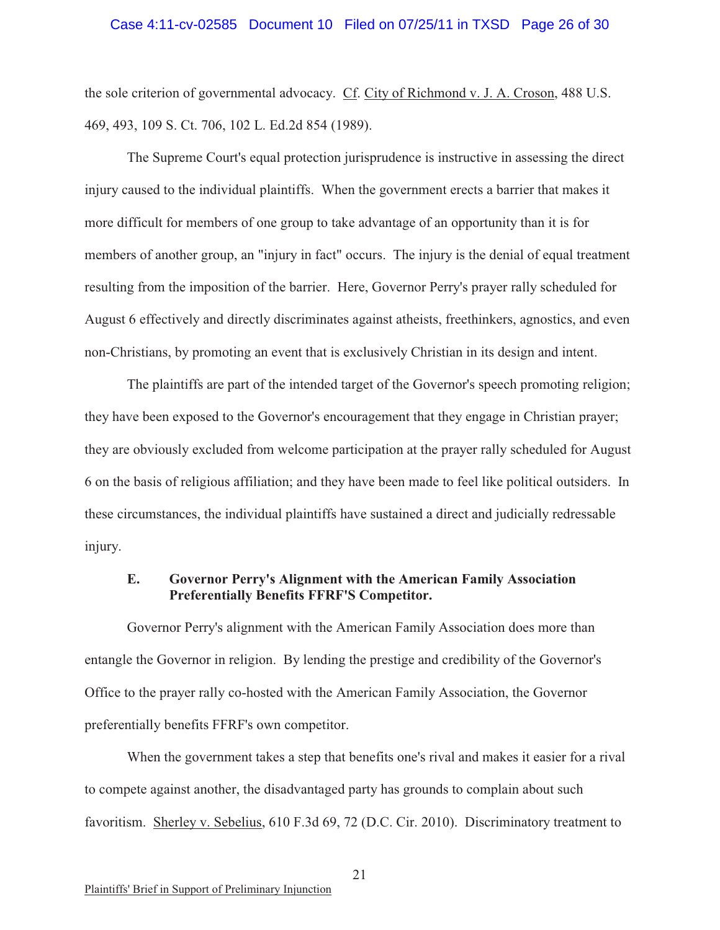#### Case 4:11-cv-02585 Document 10 Filed on 07/25/11 in TXSD Page 26 of 30

the sole criterion of governmental advocacy. Cf. City of Richmond v. J. A. Croson, 488 U.S. 469, 493, 109 S. Ct. 706, 102 L. Ed.2d 854 (1989).

The Supreme Court's equal protection jurisprudence is instructive in assessing the direct injury caused to the individual plaintiffs. When the government erects a barrier that makes it more difficult for members of one group to take advantage of an opportunity than it is for members of another group, an "injury in fact" occurs. The injury is the denial of equal treatment resulting from the imposition of the barrier. Here, Governor Perry's prayer rally scheduled for August 6 effectively and directly discriminates against atheists, freethinkers, agnostics, and even non-Christians, by promoting an event that is exclusively Christian in its design and intent.

The plaintiffs are part of the intended target of the Governor's speech promoting religion; they have been exposed to the Governor's encouragement that they engage in Christian prayer; they are obviously excluded from welcome participation at the prayer rally scheduled for August 6 on the basis of religious affiliation; and they have been made to feel like political outsiders. In these circumstances, the individual plaintiffs have sustained a direct and judicially redressable injury.

### **E. Governor Perry's Alignment with the American Family Association Preferentially Benefits FFRF'S Competitor.**

Governor Perry's alignment with the American Family Association does more than entangle the Governor in religion. By lending the prestige and credibility of the Governor's Office to the prayer rally co-hosted with the American Family Association, the Governor preferentially benefits FFRF's own competitor.

When the government takes a step that benefits one's rival and makes it easier for a rival to compete against another, the disadvantaged party has grounds to complain about such favoritism. Sherley v. Sebelius, 610 F.3d 69, 72 (D.C. Cir. 2010). Discriminatory treatment to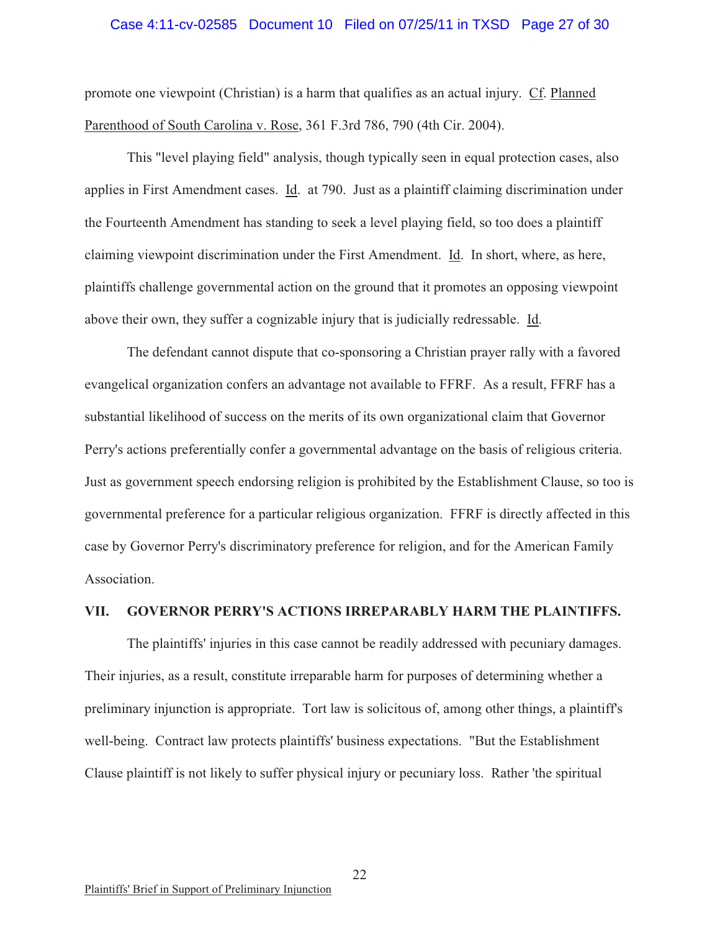#### Case 4:11-cv-02585 Document 10 Filed on 07/25/11 in TXSD Page 27 of 30

promote one viewpoint (Christian) is a harm that qualifies as an actual injury. Cf. Planned Parenthood of South Carolina v. Rose, 361 F.3rd 786, 790 (4th Cir. 2004).

This "level playing field" analysis, though typically seen in equal protection cases, also applies in First Amendment cases. Id. at 790. Just as a plaintiff claiming discrimination under the Fourteenth Amendment has standing to seek a level playing field, so too does a plaintiff claiming viewpoint discrimination under the First Amendment. Id. In short, where, as here, plaintiffs challenge governmental action on the ground that it promotes an opposing viewpoint above their own, they suffer a cognizable injury that is judicially redressable. Id.

The defendant cannot dispute that co-sponsoring a Christian prayer rally with a favored evangelical organization confers an advantage not available to FFRF. As a result, FFRF has a substantial likelihood of success on the merits of its own organizational claim that Governor Perry's actions preferentially confer a governmental advantage on the basis of religious criteria. Just as government speech endorsing religion is prohibited by the Establishment Clause, so too is governmental preference for a particular religious organization. FFRF is directly affected in this case by Governor Perry's discriminatory preference for religion, and for the American Family Association.

#### **VII. GOVERNOR PERRY'S ACTIONS IRREPARABLY HARM THE PLAINTIFFS.**

The plaintiffs' injuries in this case cannot be readily addressed with pecuniary damages. Their injuries, as a result, constitute irreparable harm for purposes of determining whether a preliminary injunction is appropriate. Tort law is solicitous of, among other things, a plaintiff's well-being. Contract law protects plaintiffs' business expectations. "But the Establishment Clause plaintiff is not likely to suffer physical injury or pecuniary loss. Rather 'the spiritual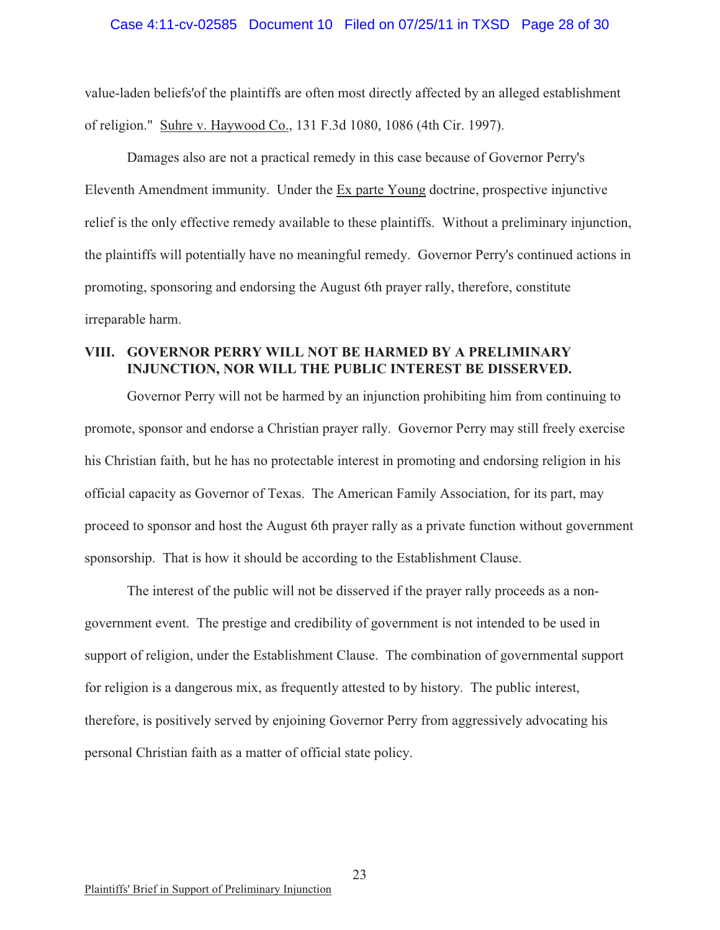#### Case 4:11-cv-02585 Document 10 Filed on 07/25/11 in TXSD Page 28 of 30

value-laden beliefs'of the plaintiffs are often most directly affected by an alleged establishment of religion." Suhre v. Haywood Co., 131 F.3d 1080, 1086 (4th Cir. 1997).

Damages also are not a practical remedy in this case because of Governor Perry's Eleventh Amendment immunity. Under the Ex parte Young doctrine, prospective injunctive relief is the only effective remedy available to these plaintiffs. Without a preliminary injunction, the plaintiffs will potentially have no meaningful remedy. Governor Perry's continued actions in promoting, sponsoring and endorsing the August 6th prayer rally, therefore, constitute irreparable harm.

# **VIII. GOVERNOR PERRY WILL NOT BE HARMED BY A PRELIMINARY INJUNCTION, NOR WILL THE PUBLIC INTEREST BE DISSERVED.**

Governor Perry will not be harmed by an injunction prohibiting him from continuing to promote, sponsor and endorse a Christian prayer rally. Governor Perry may still freely exercise his Christian faith, but he has no protectable interest in promoting and endorsing religion in his official capacity as Governor of Texas. The American Family Association, for its part, may proceed to sponsor and host the August 6th prayer rally as a private function without government sponsorship. That is how it should be according to the Establishment Clause.

The interest of the public will not be disserved if the prayer rally proceeds as a nongovernment event. The prestige and credibility of government is not intended to be used in support of religion, under the Establishment Clause. The combination of governmental support for religion is a dangerous mix, as frequently attested to by history. The public interest, therefore, is positively served by enjoining Governor Perry from aggressively advocating his personal Christian faith as a matter of official state policy.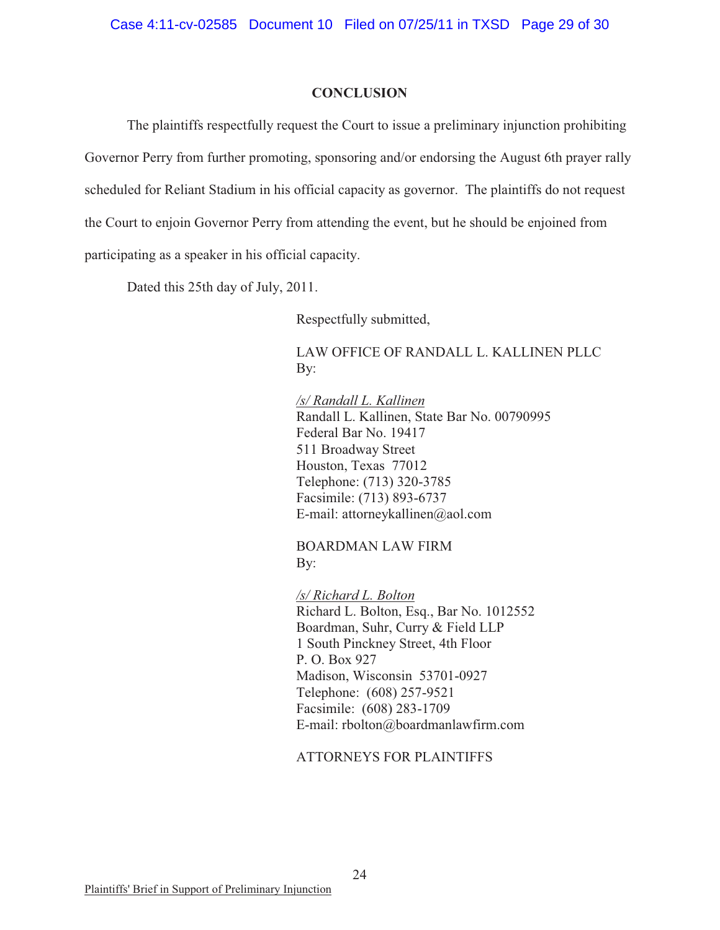#### **CONCLUSION**

The plaintiffs respectfully request the Court to issue a preliminary injunction prohibiting Governor Perry from further promoting, sponsoring and/or endorsing the August 6th prayer rally scheduled for Reliant Stadium in his official capacity as governor. The plaintiffs do not request the Court to enjoin Governor Perry from attending the event, but he should be enjoined from participating as a speaker in his official capacity.

Dated this 25th day of July, 2011.

Respectfully submitted,

LAW OFFICE OF RANDALL L. KALLINEN PLLC By:

*/s/ Randall L. Kallinen* Randall L. Kallinen, State Bar No. 00790995 Federal Bar No. 19417 511 Broadway Street Houston, Texas 77012 Telephone: (713) 320-3785 Facsimile: (713) 893-6737 E-mail: attorneykallinen@aol.com

BOARDMAN LAW FIRM By:

*/s/ Richard L. Bolton* Richard L. Bolton, Esq., Bar No. 1012552 Boardman, Suhr, Curry & Field LLP 1 South Pinckney Street, 4th Floor P. O. Box 927 Madison, Wisconsin 53701-0927 Telephone: (608) 257-9521 Facsimile: (608) 283-1709 E-mail: rbolton@boardmanlawfirm.com

ATTORNEYS FOR PLAINTIFFS